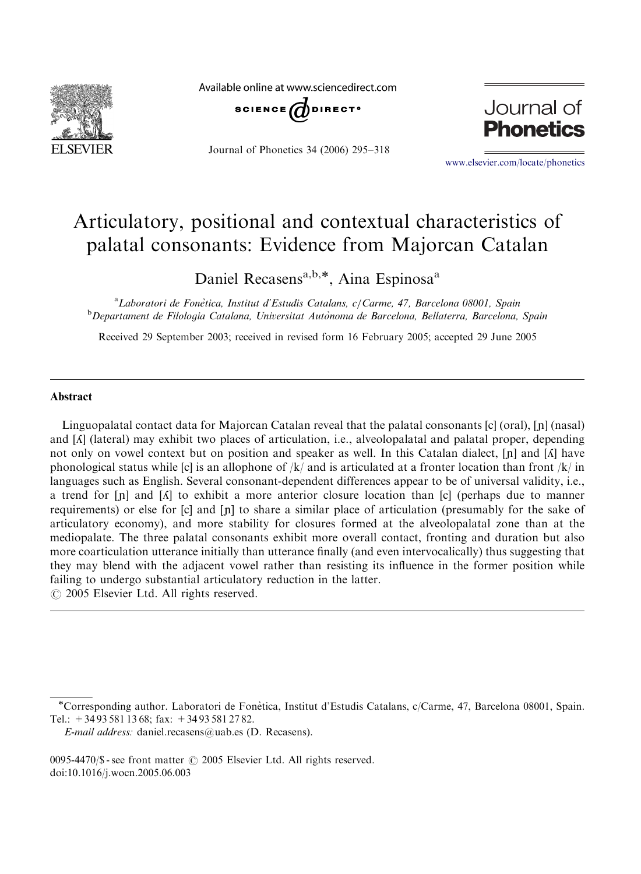

Available online at www.sciencedirect.com



Journal of Phonetics 34 (2006) 295–318



<www.elsevier.com/locate/phonetics>

# Articulatory, positional and contextual characteristics of palatal consonants: Evidence from Majorcan Catalan

Daniel Recasens<sup>a,b,\*</sup>, Aina Espinosa<sup>a</sup>

<sup>a</sup> Laboratori de Fonètica, Institut d'Estudis Catalans, c/Carme, 47, Barcelona 08001, Spain<br><sup>b</sup> Departament de Filologia Catalana, Universitat Autònoma de Barcelona, Bellaterra, Barcelona <sup>b</sup>Departament de Filologia Catalana, Universitat Autònoma de Barcelona, Bellaterra, Barcelona, Spain

Received 29 September 2003; received in revised form 16 February 2005; accepted 29 June 2005

#### Abstract

Linguopalatal contact data for Majorcan Catalan reveal that the palatal consonants  $[c]$  (oral),  $[n]$  (nasal) and [h] (lateral) may exhibit two places of articulation, i.e., alveolopalatal and palatal proper, depending not only on vowel context but on position and speaker as well. In this Catalan dialect,  $[n]$  and  $[*A*]$  have phonological status while [c] is an allophone of  $/k/$  and is articulated at a fronter location than front  $/k/$  in languages such as English. Several consonant-dependent differences appear to be of universal validity, i.e., a trend for  $[n]$  and  $[\Lambda]$  to exhibit a more anterior closure location than  $[c]$  (perhaps due to manner requirements) or else for [c] and [n] to share a similar place of articulation (presumably for the sake of articulatory economy), and more stability for closures formed at the alveolopalatal zone than at the mediopalate. The three palatal consonants exhibit more overall contact, fronting and duration but also more coarticulation utterance initially than utterance finally (and even intervocalically) thus suggesting that they may blend with the adjacent vowel rather than resisting its influence in the former position while failing to undergo substantial articulatory reduction in the latter.

 $\odot$  2005 Elsevier Ltd. All rights reserved.

 $0095-4470$ /\$ - see front matter  $\odot$  2005 Elsevier Ltd. All rights reserved. doi:10.1016/j.wocn.2005.06.003

Corresponding author. Laboratori de Fone`tica, Institut d'Estudis Catalans, c/Carme, 47, Barcelona 08001, Spain. Tel.: +34 93 581 13 68; fax: +34 93 581 27 82.

E-mail address: daniel.recasens@uab.es (D. Recasens).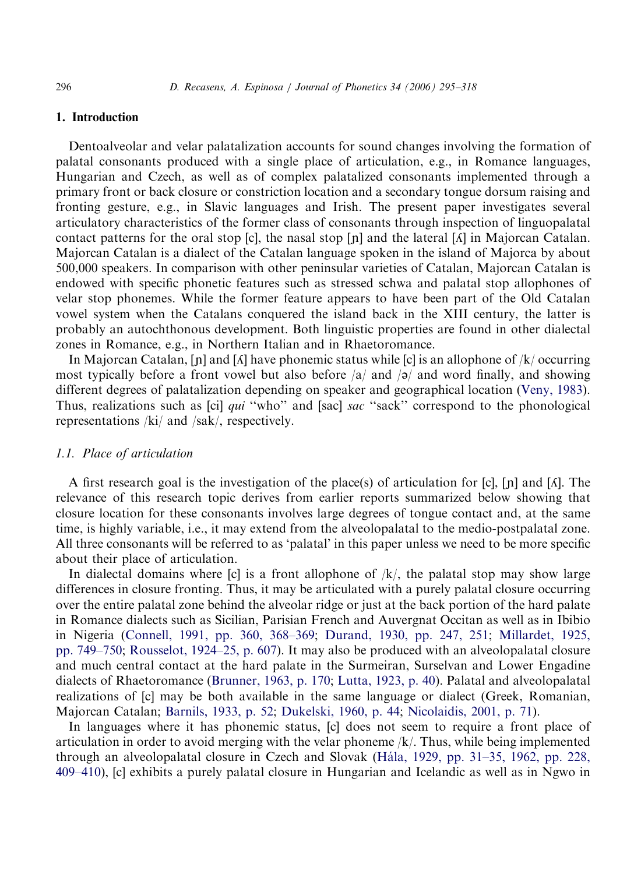## 1. Introduction

Dentoalveolar and velar palatalization accounts for sound changes involving the formation of palatal consonants produced with a single place of articulation, e.g., in Romance languages, Hungarian and Czech, as well as of complex palatalized consonants implemented through a primary front or back closure or constriction location and a secondary tongue dorsum raising and fronting gesture, e.g., in Slavic languages and Irish. The present paper investigates several articulatory characteristics of the former class of consonants through inspection of linguopalatal contact patterns for the oral stop [c], the nasal stop [n] and the lateral  $\lceil \Lambda \rceil$  in Majorcan Catalan. Majorcan Catalan is a dialect of the Catalan language spoken in the island of Majorca by about 500,000 speakers. In comparison with other peninsular varieties of Catalan, Majorcan Catalan is endowed with specific phonetic features such as stressed schwa and palatal stop allophones of velar stop phonemes. While the former feature appears to have been part of the Old Catalan vowel system when the Catalans conquered the island back in the XIII century, the latter is probably an autochthonous development. Both linguistic properties are found in other dialectal zones in Romance, e.g., in Northern Italian and in Rhaetoromance.

In Majorcan Catalan,  $[n]$  and  $[\Lambda]$  have phonemic status while  $[c]$  is an allophone of  $/k$  occurring most typically before a front vowel but also before  $\frac{a}{a}$  and  $\frac{a}{2}$  and word finally, and showing different degrees of palatalization depending on speaker and geographical location ([Veny, 1983](#page-23-0)). Thus, realizations such as [ci] *qui* "who" and [sac] *sac* "sack" correspond to the phonological representations /ki/ and /sak/, respectively.

# 1.1. Place of articulation

A first research goal is the investigation of the place(s) of articulation for [c], [n] and [ $\Lambda$ ]. The relevance of this research topic derives from earlier reports summarized below showing that closure location for these consonants involves large degrees of tongue contact and, at the same time, is highly variable, i.e., it may extend from the alveolopalatal to the medio-postpalatal zone. All three consonants will be referred to as 'palatal' in this paper unless we need to be more specific about their place of articulation.

In dialectal domains where  $[c]$  is a front allophone of  $/k/$ , the palatal stop may show large differences in closure fronting. Thus, it may be articulated with a purely palatal closure occurring over the entire palatal zone behind the alveolar ridge or just at the back portion of the hard palate in Romance dialects such as Sicilian, Parisian French and Auvergnat Occitan as well as in Ibibio in Nigeria ([Connell, 1991, pp. 360, 368–369](#page-21-0); [Durand, 1930, pp. 247, 251](#page-22-0); [Millardet, 1925,](#page-22-0) [pp. 749–750;](#page-22-0) [Rousselot, 1924–25, p. 607](#page-23-0)). It may also be produced with an alveolopalatal closure and much central contact at the hard palate in the Surmeiran, Surselvan and Lower Engadine dialects of Rhaetoromance ([Brunner, 1963, p. 170;](#page-21-0) [Lutta, 1923, p. 40\)](#page-22-0). Palatal and alveolopalatal realizations of [c] may be both available in the same language or dialect (Greek, Romanian, Majorcan Catalan; [Barnils, 1933, p. 52](#page-21-0); [Dukelski, 1960, p. 44;](#page-21-0) [Nicolaidis, 2001, p. 71](#page-22-0)).

In languages where it has phonemic status, [c] does not seem to require a front place of articulation in order to avoid merging with the velar phoneme /k/. Thus, while being implemented through an alveolopalatal closure in Czech and Slovak (Hála, 1929, pp. 31–35, 1962, pp. 228, [409–410\)](#page-22-0), [c] exhibits a purely palatal closure in Hungarian and Icelandic as well as in Ngwo in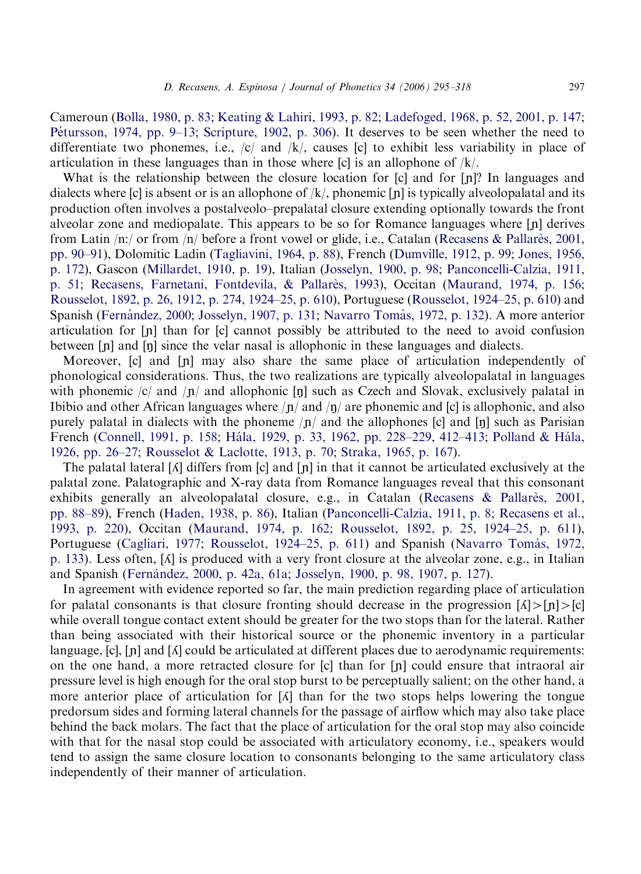Cameroun [\(Bolla, 1980, p. 83](#page-21-0); [Keating & Lahiri, 1993, p. 82](#page-22-0); [Ladefoged, 1968, p. 52, 2001, p. 147;](#page-22-0) Pétursson, 1974, pp. 9–13; [Scripture, 1902, p. 306\)](#page-23-0). It deserves to be seen whether the need to differentiate two phonemes, i.e.,  $\langle c \rangle$  and  $\langle k \rangle$ , causes  $\langle c \rangle$  to exhibit less variability in place of articulation in these languages than in those where  $\lbrack$  cold is an allophone of  $/k/$ .

What is the relationship between the closure location for  $[c]$  and for  $[n]$ ? In languages and dialects where [c] is absent or is an allophone of  $/k/$ , phonemic [n] is typically alveolopalatal and its production often involves a postalveolo–prepalatal closure extending optionally towards the front alveolar zone and mediopalate. This appears to be so for Romance languages where  $[n]$  derives from Latin  $/n$ :/ or from  $/n$ / before a front vowel or glide, i.e., Catalan ([Recasens](#page-23-0) & [Pallare`s, 2001,](#page-23-0) [pp. 90–91\)](#page-23-0), Dolomitic Ladin [\(Tagliavini, 1964, p. 88](#page-23-0)), French ([Dumville, 1912, p. 99](#page-21-0); [Jones, 1956,](#page-22-0) [p. 172\)](#page-22-0), Gascon ([Millardet, 1910, p. 19](#page-22-0)), Italian ([Josselyn, 1900, p. 98;](#page-22-0) [Panconcelli-Calzia, 1911,](#page-22-0) [p. 51](#page-22-0); [Recasens, Farnetani, Fontdevila,](#page-23-0) & [Pallare`s, 1993](#page-23-0)), Occitan ([Maurand, 1974, p. 156;](#page-22-0) [Rousselot, 1892, p. 26, 1912, p. 274, 1924–25, p. 610\)](#page-23-0), Portuguese ([Rousselot, 1924–25, p. 610\)](#page-23-0) and Spanish (Fernández, 2000; [Josselyn, 1907, p. 131;](#page-22-0) Navarro Tomás, 1972, p. 132). A more anterior articulation for  $\lceil n \rceil$  than for  $\lceil c \rceil$  cannot possibly be attributed to the need to avoid confusion between  $[n]$  and  $[n]$  since the velar nasal is allophonic in these languages and dialects.

Moreover,  $[c]$  and  $[n]$  may also share the same place of articulation independently of phonological considerations. Thus, the two realizations are typically alveolopalatal in languages with phonemic /c/ and / $\eta$ / and allophonic [ $\eta$ ] such as Czech and Slovak, exclusively palatal in Ibibio and other African languages where  $/p/$  and  $/p/$  are phonemic and  $[c]$  is allophonic, and also purely palatal in dialects with the phoneme  $/n/$  and the allophones [c] and [n] such as Parisian French [\(Connell, 1991, p. 158;](#page-21-0) Hála, 1929, p. 33, 1962, pp. 228–229, 412–413; Polland & Hála, [1926, pp. 26–27](#page-22-0); [Rousselot & Laclotte, 1913, p. 70](#page-23-0); [Straka, 1965, p. 167\)](#page-23-0).

The palatal lateral  $\lceil \Lambda \rceil$  differs from  $\lceil c \rceil$  and  $\lceil n \rceil$  in that it cannot be articulated exclusively at the palatal zone. Palatographic and X-ray data from Romance languages reveal that this consonant exhibits generally an alveolopalatal closure, e.g., in Catalan (Recasens & Pallares, 2001, [pp. 88–89\)](#page-23-0), French [\(Haden, 1938, p. 86](#page-22-0)), Italian ([Panconcelli-Calzia, 1911, p. 8](#page-22-0); [Recasens et al.,](#page-23-0) [1993, p. 220](#page-23-0)), Occitan [\(Maurand, 1974, p. 162](#page-22-0); [Rousselot, 1892, p. 25, 1924–25, p. 611](#page-23-0)), Portuguese [\(Cagliari, 1977](#page-21-0); [Rousselot, 1924–25, p. 611\)](#page-23-0) and Spanish (Navarro Tomás, 1972, [p. 133](#page-22-0)). Less often, [h] is produced with a very front closure at the alveolar zone, e.g., in Italian and Spanish (Fernández, 2000, p. 42a, 61a; [Josselyn, 1900, p. 98, 1907, p. 127\)](#page-22-0).

In agreement with evidence reported so far, the main prediction regarding place of articulation for palatal consonants is that closure fronting should decrease in the progression  $\lceil \Lambda \rceil > \lceil n \rceil > \lceil c \rceil$ while overall tongue contact extent should be greater for the two stops than for the lateral. Rather than being associated with their historical source or the phonemic inventory in a particular language,  $[c]$ ,  $[n]$  and  $\lceil \Lambda \rceil$  could be articulated at different places due to aerodynamic requirements: on the one hand, a more retracted closure for  $[c]$  than for  $[n]$  could ensure that intraoral air pressure level is high enough for the oral stop burst to be perceptually salient; on the other hand, a more anterior place of articulation for  $\lceil \Lambda \rceil$  than for the two stops helps lowering the tongue predorsum sides and forming lateral channels for the passage of airflow which may also take place behind the back molars. The fact that the place of articulation for the oral stop may also coincide with that for the nasal stop could be associated with articulatory economy, i.e., speakers would tend to assign the same closure location to consonants belonging to the same articulatory class independently of their manner of articulation.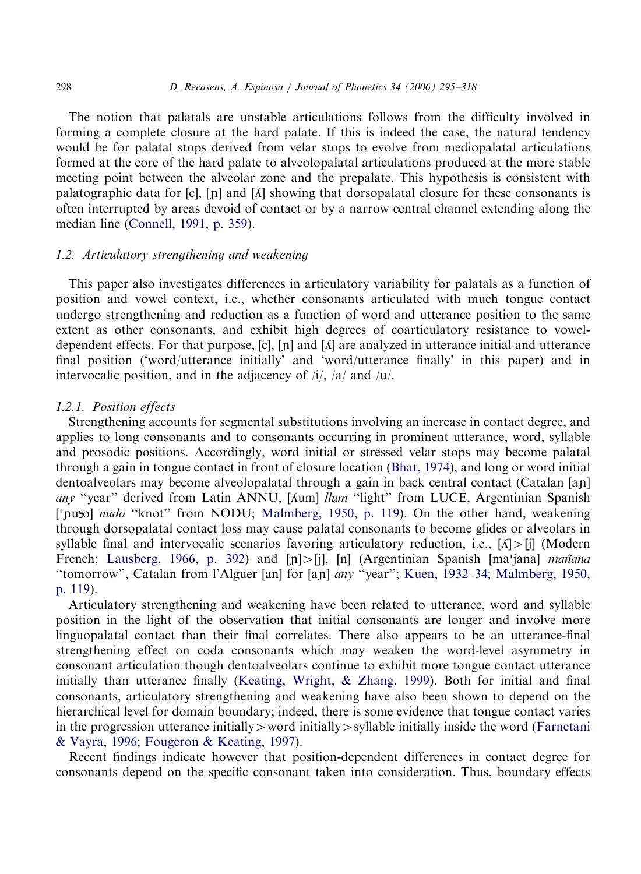The notion that palatals are unstable articulations follows from the difficulty involved in forming a complete closure at the hard palate. If this is indeed the case, the natural tendency would be for palatal stops derived from velar stops to evolve from mediopalatal articulations formed at the core of the hard palate to alveolopalatal articulations produced at the more stable meeting point between the alveolar zone and the prepalate. This hypothesis is consistent with palatographic data for  $[c]$ ,  $[n]$  and  $[A]$  showing that dorsopalatal closure for these consonants is often interrupted by areas devoid of contact or by a narrow central channel extending along the median line [\(Connell, 1991, p. 359](#page-21-0)).

## 1.2. Articulatory strengthening and weakening

This paper also investigates differences in articulatory variability for palatals as a function of position and vowel context, i.e., whether consonants articulated with much tongue contact undergo strengthening and reduction as a function of word and utterance position to the same extent as other consonants, and exhibit high degrees of coarticulatory resistance to voweldependent effects. For that purpose,  $[c]$ ,  $[n]$  and  $[\Lambda]$  are analyzed in utterance initial and utterance final position ('word/utterance initially' and 'word/utterance finally' in this paper) and in intervocalic position, and in the adjacency of  $/i/$ ,  $/a/$  and  $/u/$ .

## 1.2.1. Position effects

Strengthening accounts for segmental substitutions involving an increase in contact degree, and applies to long consonants and to consonants occurring in prominent utterance, word, syllable and prosodic positions. Accordingly, word initial or stressed velar stops may become palatal through a gain in tongue contact in front of closure location [\(Bhat, 1974](#page-21-0)), and long or word initial dentoalveolars may become alveolopalatal through a gain in back central contact (Catalan [an] any "year" derived from Latin ANNU, [Aum] *llum* "light" from LUCE, Argentinian Spanish ['nuoo] nudo "knot" from NODU; [Malmberg, 1950, p. 119](#page-22-0)). On the other hand, weakening through dorsopalatal contact loss may cause palatal consonants to become glides or alveolars in syllable final and intervocalic scenarios favoring articulatory reduction, i.e.,  $\lceil \Lambda \rceil > \lceil j \rceil$  (Modern synable final and intervocanc scenarios ravoring articulatory reduction, i.e.,  $[A] > [j]$  (wodern<br>French; [Lausberg, 1966, p. 392](#page-22-0)) and  $[p] > [j]$ , [n] (Argentinian Spanish [ma'jana] *mañana* "tomorrow", Catalan from l'Alguer [an] for [an] any "year"; [Kuen, 1932–34](#page-22-0); [Malmberg, 1950,](#page-22-0) [p. 119](#page-22-0)).

Articulatory strengthening and weakening have been related to utterance, word and syllable position in the light of the observation that initial consonants are longer and involve more linguopalatal contact than their final correlates. There also appears to be an utterance-final strengthening effect on coda consonants which may weaken the word-level asymmetry in consonant articulation though dentoalveolars continue to exhibit more tongue contact utterance initially than utterance finally [\(Keating, Wright,](#page-22-0) & [Zhang, 1999\)](#page-22-0). Both for initial and final consonants, articulatory strengthening and weakening have also been shown to depend on the hierarchical level for domain boundary; indeed, there is some evidence that tongue contact varies in the progression utterance initially  $\rightarrow$  word initially  $\rightarrow$  syllable initially inside the word ([Farnetani](#page-22-0) & [Vayra, 1996](#page-22-0); [Fougeron & Keating, 1997\)](#page-22-0).

Recent findings indicate however that position-dependent differences in contact degree for consonants depend on the specific consonant taken into consideration. Thus, boundary effects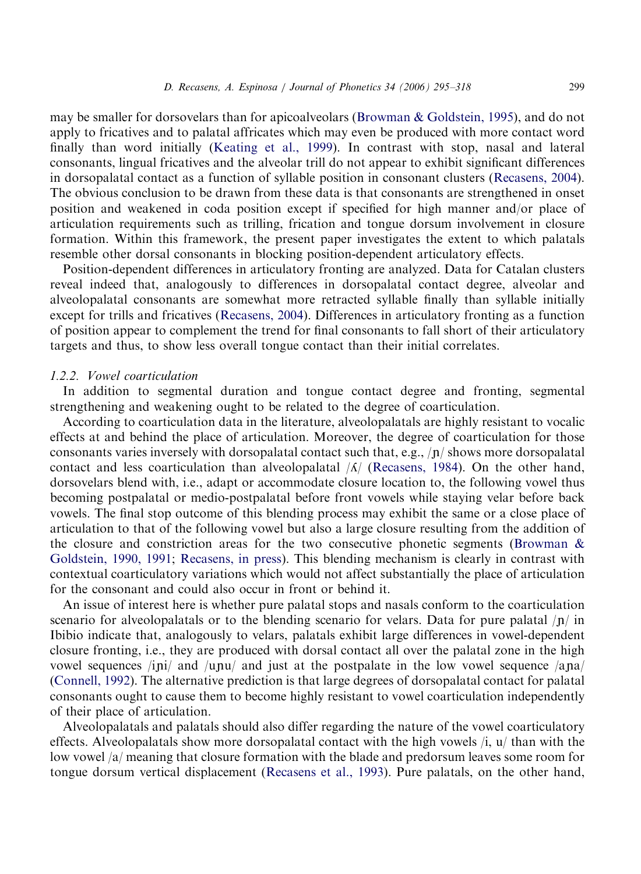may be smaller for dorsovelars than for apicoalveolars ([Browman & Goldstein, 1995](#page-21-0)), and do not apply to fricatives and to palatal affricates which may even be produced with more contact word finally than word initially [\(Keating et al., 1999\)](#page-22-0). In contrast with stop, nasal and lateral consonants, lingual fricatives and the alveolar trill do not appear to exhibit significant differences in dorsopalatal contact as a function of syllable position in consonant clusters [\(Recasens, 2004](#page-23-0)). The obvious conclusion to be drawn from these data is that consonants are strengthened in onset position and weakened in coda position except if specified for high manner and/or place of articulation requirements such as trilling, frication and tongue dorsum involvement in closure formation. Within this framework, the present paper investigates the extent to which palatals resemble other dorsal consonants in blocking position-dependent articulatory effects.

Position-dependent differences in articulatory fronting are analyzed. Data for Catalan clusters reveal indeed that, analogously to differences in dorsopalatal contact degree, alveolar and alveolopalatal consonants are somewhat more retracted syllable finally than syllable initially except for trills and fricatives ([Recasens, 2004\)](#page-23-0). Differences in articulatory fronting as a function of position appear to complement the trend for final consonants to fall short of their articulatory targets and thus, to show less overall tongue contact than their initial correlates.

#### 1.2.2. Vowel coarticulation

In addition to segmental duration and tongue contact degree and fronting, segmental strengthening and weakening ought to be related to the degree of coarticulation.

According to coarticulation data in the literature, alveolopalatals are highly resistant to vocalic effects at and behind the place of articulation. Moreover, the degree of coarticulation for those consonants varies inversely with dorsopalatal contact such that, e.g.,  $\langle \mathbf{n} \rangle$  shows more dorsopalatal contact and less coarticulation than alveolopalatal  $\Lambda$  [\(Recasens, 1984](#page-22-0)). On the other hand, dorsovelars blend with, i.e., adapt or accommodate closure location to, the following vowel thus becoming postpalatal or medio-postpalatal before front vowels while staying velar before back vowels. The final stop outcome of this blending process may exhibit the same or a close place of articulation to that of the following vowel but also a large closure resulting from the addition of the closure and constriction areas for the two consecutive phonetic segments ([Browman](#page-21-0)  $\&$ [Goldstein, 1990, 1991;](#page-21-0) [Recasens, in press](#page-23-0)). This blending mechanism is clearly in contrast with contextual coarticulatory variations which would not affect substantially the place of articulation for the consonant and could also occur in front or behind it.

An issue of interest here is whether pure palatal stops and nasals conform to the coarticulation scenario for alveolopalatals or to the blending scenario for velars. Data for pure palatal  $|p|$  in Ibibio indicate that, analogously to velars, palatals exhibit large differences in vowel-dependent closure fronting, i.e., they are produced with dorsal contact all over the palatal zone in the high vowel sequences  $\langle i\pi j \rangle$  and  $\langle \mu \pi \mu \rangle$  and just at the postpalate in the low vowel sequence  $\langle \pi \pi j \rangle$ [\(Connell, 1992](#page-21-0)). The alternative prediction is that large degrees of dorsopalatal contact for palatal consonants ought to cause them to become highly resistant to vowel coarticulation independently of their place of articulation.

Alveolopalatals and palatals should also differ regarding the nature of the vowel coarticulatory effects. Alveolopalatals show more dorsopalatal contact with the high vowels /i, u/ than with the low vowel /a/ meaning that closure formation with the blade and predorsum leaves some room for tongue dorsum vertical displacement ([Recasens et al., 1993\)](#page-23-0). Pure palatals, on the other hand,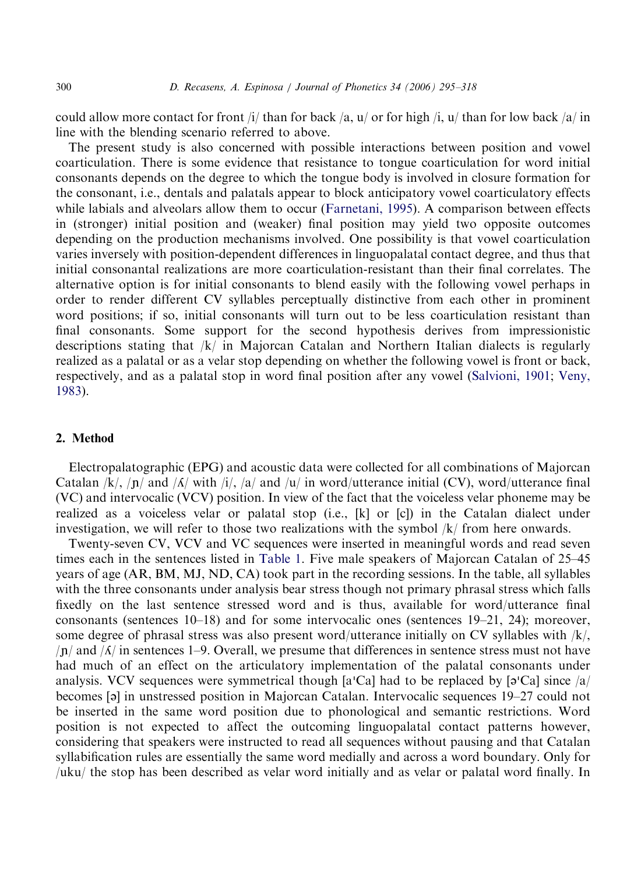could allow more contact for front /i/ than for back /a, u/ or for high /i, u/ than for low back /a/ in line with the blending scenario referred to above.

The present study is also concerned with possible interactions between position and vowel coarticulation. There is some evidence that resistance to tongue coarticulation for word initial consonants depends on the degree to which the tongue body is involved in closure formation for the consonant, i.e., dentals and palatals appear to block anticipatory vowel coarticulatory effects while labials and alveolars allow them to occur [\(Farnetani, 1995\)](#page-22-0). A comparison between effects in (stronger) initial position and (weaker) final position may yield two opposite outcomes depending on the production mechanisms involved. One possibility is that vowel coarticulation varies inversely with position-dependent differences in linguopalatal contact degree, and thus that initial consonantal realizations are more coarticulation-resistant than their final correlates. The alternative option is for initial consonants to blend easily with the following vowel perhaps in order to render different CV syllables perceptually distinctive from each other in prominent word positions; if so, initial consonants will turn out to be less coarticulation resistant than final consonants. Some support for the second hypothesis derives from impressionistic descriptions stating that  $/k/$  in Majorcan Catalan and Northern Italian dialects is regularly realized as a palatal or as a velar stop depending on whether the following vowel is front or back, respectively, and as a palatal stop in word final position after any vowel ([Salvioni, 1901;](#page-23-0) [Veny,](#page-23-0) [1983](#page-23-0)).

# 2. Method

Electropalatographic (EPG) and acoustic data were collected for all combinations of Majorcan Catalan /k/,  $\ln$  and / $\Lambda$ / with /i/, /a/ and /u/ in word/utterance initial (CV), word/utterance final (VC) and intervocalic (VCV) position. In view of the fact that the voiceless velar phoneme may be realized as a voiceless velar or palatal stop (i.e., [k] or [c]) in the Catalan dialect under investigation, we will refer to those two realizations with the symbol /k/ from here onwards.

Twenty-seven CV, VCV and VC sequences were inserted in meaningful words and read seven times each in the sentences listed in [Table 1](#page-6-0). Five male speakers of Majorcan Catalan of 25–45 years of age (AR, BM, MJ, ND, CA) took part in the recording sessions. In the table, all syllables with the three consonants under analysis bear stress though not primary phrasal stress which falls fixedly on the last sentence stressed word and is thus, available for word/utterance final consonants (sentences 10–18) and for some intervocalic ones (sentences 19–21, 24); moreover, some degree of phrasal stress was also present word/utterance initially on CV syllables with /k/,  $/|\mathbf{n}|$  and  $/|\mathbf{\Lambda}|$  in sentences 1–9. Overall, we presume that differences in sentence stress must not have had much of an effect on the articulatory implementation of the palatal consonants under had much of an effect on the articulatory implementation of the paratal consolidants under<br>analysis. VCV sequences were symmetrical though [a'Ca] had to be replaced by [a'Ca] since  $\alpha$ becomes [ə] in unstressed position in Majorcan Catalan. Intervocalic sequences 19–27 could not be inserted in the same word position due to phonological and semantic restrictions. Word position is not expected to affect the outcoming linguopalatal contact patterns however, considering that speakers were instructed to read all sequences without pausing and that Catalan syllabification rules are essentially the same word medially and across a word boundary. Only for /uku/ the stop has been described as velar word initially and as velar or palatal word finally. In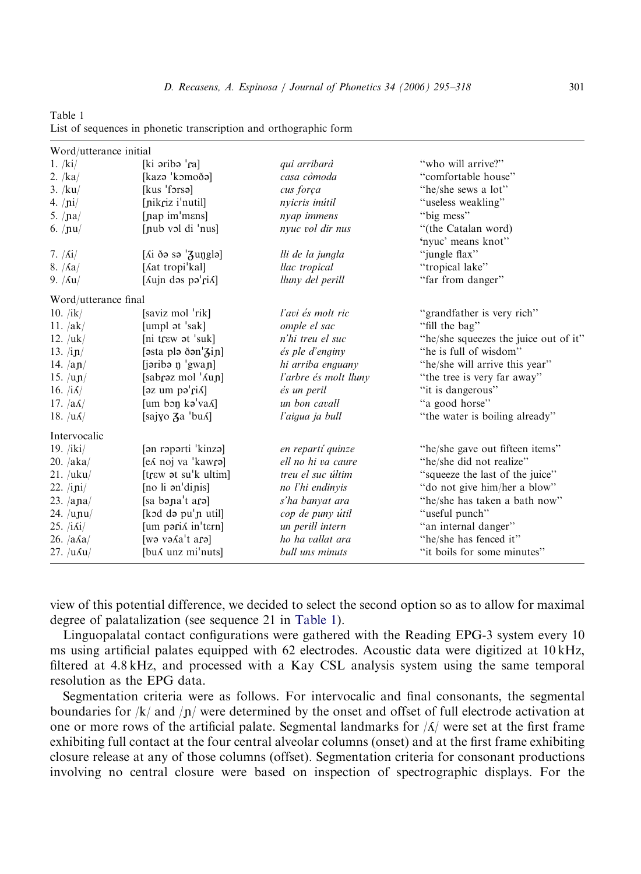<span id="page-6-0"></span>Table 1 List of sequences in phonetic transcription and orthographic form

| Word/utterance initial      |                                          |                       |                                       |
|-----------------------------|------------------------------------------|-----------------------|---------------------------------------|
| 1. /ki/                     | [ki əribə 'ra]                           | qui arribarà          | "who will arrive?"                    |
| 2. $/ka/$                   | [kazə 'kəmoðə]                           | casa còmoda           | "comfortable house"                   |
| 3. /ku/                     | [kus 'forsə]                             | cus força             | "he/she sews a lot"                   |
| 4. $/ni/$                   | [nikriz i'nutil]                         | nyicris inútil        | "useless weakling"                    |
| 5. $/na/$                   | [nap im'mans]                            | nyap immens           | "big mess"                            |
| 6. $/nu/$                   | [nub vol di $'$ nus]                     | nyuc vol dir nus      | "(the Catalan word)                   |
|                             |                                          |                       | 'nyuc' means knot"                    |
| 7. $/$ $\Lambda i/$         | [ $\Lambda$ i ðə sə $\mathcal{Z}$ unglə] | lli de la jungla      | "jungle flax"                         |
| $8. / \text{Aa}/$           | [Aat tropi'kal]                          | llac tropical         | "tropical lake"                       |
| 9. $/\text{Au}/$            | [Aujn dəs pə'riA]                        | lluny del perill      | "far from danger"                     |
| Word/utterance final        |                                          |                       |                                       |
| 10. $/ik/$                  | [saviz mol 'rik]                         | l'avi és molt ric     | "grandfather is very rich"            |
| 11. $/ak/$                  | [umpl at 'sak]                           | omple el sac          | "fill the bag"                        |
| 12. $/uk/$                  | [ni trɛw ət 'suk]                        | n'hi treu el suc      | "he/she squeezes the juice out of it" |
| 13. $/ip/$                  | $[$ əsta plə ðən $\frac{1}{6}$ in]       | és ple d'enginy       | "he is full of wisdom"                |
| 14. $\frac{a_{n}}{2}$       | [jəribə ŋ 'gwaɲ]                         | hi arriba enguany     | "he/she will arrive this year"        |
| 15. $/\text{up}/$           | [sabraz mol 'Aun]                        | l'arbre és molt lluny | "the tree is very far away"           |
| 16. $ \hat{\Lambda} $       | $[\text{az um po'r}$                     | és un peril           | "it is dangerous"                     |
| 17. $\left a\Lambda\right $ | [um bon ka'vaA]                          | un bon cavall         | "a good horse"                        |
| 18. $ u\Lambda $            | [sajyo $\lambda$ a 'bu $\Lambda$ ]       | l'aigua ja bull       | "the water is boiling already"        |
| Intervocalic                |                                          |                       |                                       |
| 19. $/iki/$                 | [ən rəpərti 'kinzə]                      | en repartí quinze     | "he/she gave out fifteen items"       |
| 20. /aka/                   | [ex noj va 'kawra]                       | ell no hi va caure    | "he/she did not realize"              |
| 21. / uku/                  | [trew at su'k ultim]                     | treu el suc últim     | "squeeze the last of the juice"       |
| 22. $\pi$                   | [no li an'dinis]                         | no l'hi endinyis      | "do not give him/her a blow"          |
| 23. $/$ ana $/$             | [sa bəna't arə]                          | s'ha banyat ara       | "he/she has taken a bath now"         |
| 24. $/\text{upu}/$          | [kɔd də pu'n util]                       | cop de puny útil      | "useful punch"                        |
| 25. $/i\delta i/$           | [um paris in'tern]                       | un perill intern      | "an internal danger"                  |
| $26. /a\text{Aa}/$          | [wə və Aa't ara]                         | ho ha vallat ara      | "he/she has fenced it"                |
| $27. /u \text{Au}$          | [bu w unz mi'nuts]                       | bull uns minuts       | "it boils for some minutes"           |

view of this potential difference, we decided to select the second option so as to allow for maximal degree of palatalization (see sequence 21 in Table 1).

Linguopalatal contact configurations were gathered with the Reading EPG-3 system every 10 ms using artificial palates equipped with 62 electrodes. Acoustic data were digitized at 10 kHz, filtered at 4.8 kHz, and processed with a Kay CSL analysis system using the same temporal resolution as the EPG data.

Segmentation criteria were as follows. For intervocalic and final consonants, the segmental boundaries for  $/k/$  and  $/n/$  were determined by the onset and offset of full electrode activation at one or more rows of the artificial palate. Segmental landmarks for  $\Lambda$  were set at the first frame exhibiting full contact at the four central alveolar columns (onset) and at the first frame exhibiting closure release at any of those columns (offset). Segmentation criteria for consonant productions involving no central closure were based on inspection of spectrographic displays. For the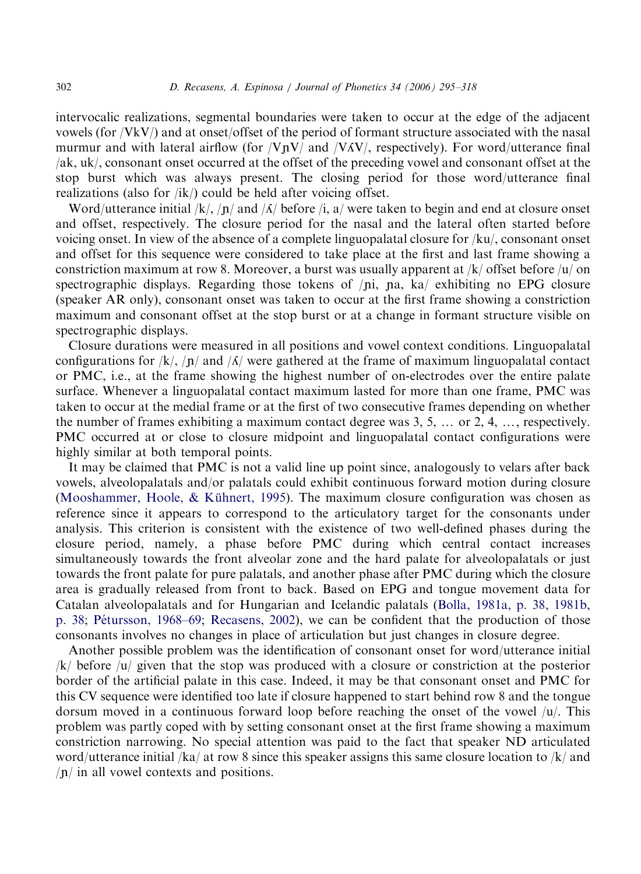intervocalic realizations, segmental boundaries were taken to occur at the edge of the adjacent vowels (for /VkV/) and at onset/offset of the period of formant structure associated with the nasal murmur and with lateral airflow (for  $\sqrt{VpV}$  and  $\sqrt{VAV}$ , respectively). For word/utterance final /ak, uk/, consonant onset occurred at the offset of the preceding vowel and consonant offset at the stop burst which was always present. The closing period for those word/utterance final realizations (also for  $/ik$ ) could be held after voicing offset.

Word/utterance initial /k/, /n/ and / $\Lambda$ / before /i, a/ were taken to begin and end at closure onset and offset, respectively. The closure period for the nasal and the lateral often started before voicing onset. In view of the absence of a complete linguopalatal closure for /ku/, consonant onset and offset for this sequence were considered to take place at the first and last frame showing a constriction maximum at row 8. Moreover, a burst was usually apparent at  $/k/$  offset before  $/u/$  on spectrographic displays. Regarding those tokens of  $\pi$ ,  $\pi$ , ka, exhibiting no EPG closure (speaker AR only), consonant onset was taken to occur at the first frame showing a constriction maximum and consonant offset at the stop burst or at a change in formant structure visible on spectrographic displays.

Closure durations were measured in all positions and vowel context conditions. Linguopalatal configurations for /k/, /n/ and / $\Lambda$ / were gathered at the frame of maximum linguopalatal contact or PMC, i.e., at the frame showing the highest number of on-electrodes over the entire palate surface. Whenever a linguopalatal contact maximum lasted for more than one frame, PMC was taken to occur at the medial frame or at the first of two consecutive frames depending on whether the number of frames exhibiting a maximum contact degree was  $3, 5, \ldots$  or  $2, 4, \ldots$ , respectively. PMC occurred at or close to closure midpoint and linguopalatal contact configurations were highly similar at both temporal points.

It may be claimed that PMC is not a valid line up point since, analogously to velars after back vowels, alveolopalatals and/or palatals could exhibit continuous forward motion during closure (Mooshammer, Hoole,  $&$  Kühnert, 1995). The maximum closure configuration was chosen as reference since it appears to correspond to the articulatory target for the consonants under analysis. This criterion is consistent with the existence of two well-defined phases during the closure period, namely, a phase before PMC during which central contact increases simultaneously towards the front alveolar zone and the hard palate for alveolopalatals or just towards the front palate for pure palatals, and another phase after PMC during which the closure area is gradually released from front to back. Based on EPG and tongue movement data for Catalan alveolopalatals and for Hungarian and Icelandic palatals ([Bolla, 1981a, p. 38, 1981b,](#page-21-0) [p. 38;](#page-21-0) Pétursson, 1968–69; [Recasens, 2002\)](#page-22-0), we can be confident that the production of those consonants involves no changes in place of articulation but just changes in closure degree.

Another possible problem was the identification of consonant onset for word/utterance initial /k/ before /u/ given that the stop was produced with a closure or constriction at the posterior border of the artificial palate in this case. Indeed, it may be that consonant onset and PMC for this CV sequence were identified too late if closure happened to start behind row 8 and the tongue dorsum moved in a continuous forward loop before reaching the onset of the vowel  $|u|$ . This problem was partly coped with by setting consonant onset at the first frame showing a maximum constriction narrowing. No special attention was paid to the fact that speaker ND articulated word/utterance initial /ka/ at row 8 since this speaker assigns this same closure location to /k/ and  $\ln$  in all vowel contexts and positions.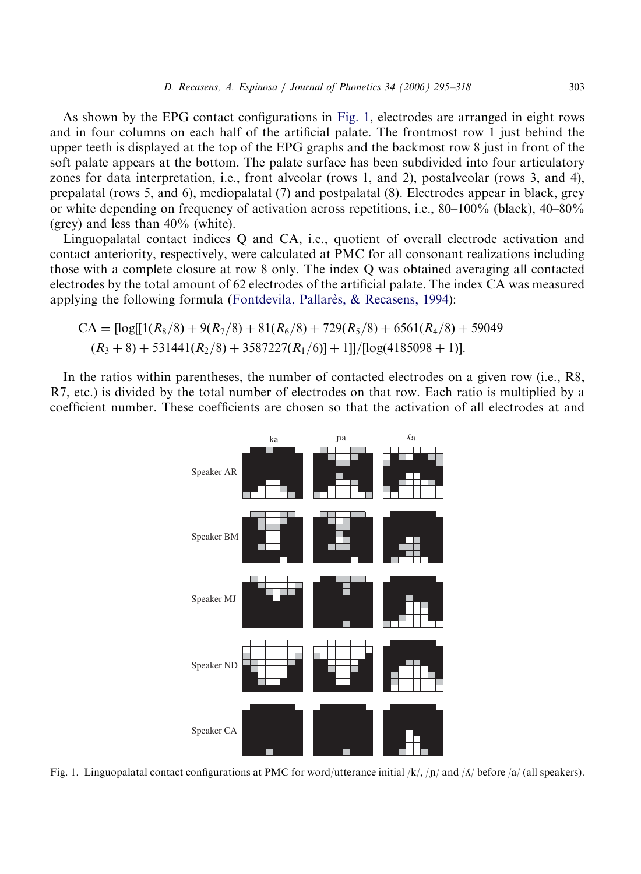<span id="page-8-0"></span>As shown by the EPG contact configurations in Fig. 1, electrodes are arranged in eight rows and in four columns on each half of the artificial palate. The frontmost row 1 just behind the upper teeth is displayed at the top of the EPG graphs and the backmost row 8 just in front of the soft palate appears at the bottom. The palate surface has been subdivided into four articulatory zones for data interpretation, i.e., front alveolar (rows 1, and 2), postalveolar (rows 3, and 4), prepalatal (rows 5, and 6), mediopalatal (7) and postpalatal (8). Electrodes appear in black, grey or white depending on frequency of activation across repetitions, i.e., 80–100% (black), 40–80% (grey) and less than 40% (white).

Linguopalatal contact indices Q and CA, i.e., quotient of overall electrode activation and contact anteriority, respectively, were calculated at PMC for all consonant realizations including those with a complete closure at row 8 only. The index Q was obtained averaging all contacted electrodes by the total amount of 62 electrodes of the artificial palate. The index CA was measured applying the following formula (Fontdevila, Pallares,  $\&$  Recasens, 1994):

$$
CA = [log[[1(R_8/8) + 9(R_7/8) + 81(R_6/8) + 729(R_5/8) + 6561(R_4/8) + 59049
$$
  
(R<sub>3</sub> + 8) + 531441(R<sub>2</sub>/8) + 3587227(R<sub>1</sub>/6)] + 1]]/[log(4185098 + 1)].

In the ratios within parentheses, the number of contacted electrodes on a given row (i.e., R8, R7, etc.) is divided by the total number of electrodes on that row. Each ratio is multiplied by a coefficient number. These coefficients are chosen so that the activation of all electrodes at and



Fig. 1. Linguopalatal contact configurations at PMC for word/utterance initial  $/k/$ ,  $/n/$  and  $\Lambda/$  before  $\alpha/$  (all speakers).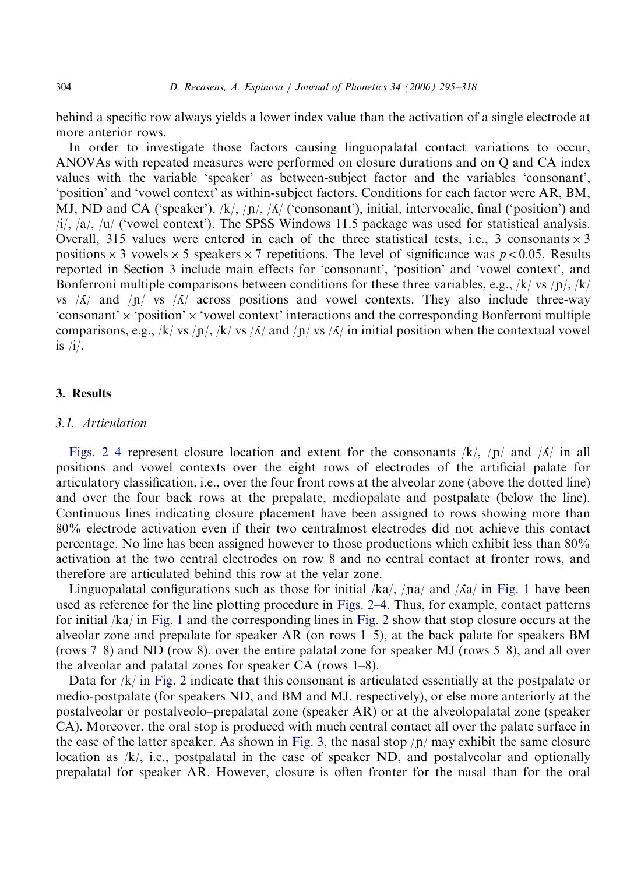behind a specific row always yields a lower index value than the activation of a single electrode at more anterior rows.

In order to investigate those factors causing linguopalatal contact variations to occur, ANOVAs with repeated measures were performed on closure durations and on Q and CA index values with the variable 'speaker' as between-subject factor and the variables 'consonant', 'position' and 'vowel context' as within-subject factors. Conditions for each factor were AR, BM, MJ, ND and CA ('speaker'),  $\langle k \rangle$ ,  $\langle n \rangle$ ,  $\langle \Delta \rangle$  ('consonant'), initial, intervocalic, final ('position') and /i/, /a/, /u/ ('vowel context'). The SPSS Windows 11.5 package was used for statistical analysis. Overall, 315 values were entered in each of the three statistical tests, i.e., 3 consonants  $\times$  3 positions  $\times$  3 vowels  $\times$  5 speakers  $\times$  7 repetitions. The level of significance was  $p$  < 0.05. Results reported in Section 3 include main effects for 'consonant', 'position' and 'vowel context', and Bonferroni multiple comparisons between conditions for these three variables, e.g., /k/ vs /n/, /k/ vs  $|\Lambda|$  and  $|\Lambda|$  vs  $|\Lambda|$  across positions and vowel contexts. They also include three-way 'consonant'  $\times$  'position'  $\times$  'vowel context' interactions and the corresponding Bonferroni multiple comparisons, e.g., /k/ vs /n/, /k/ vs /A/ and /n/ vs /A/ in initial position when the contextual vowel is  $/i$ .

# 3. Results

#### 3.1. Articulation

[Figs. 2–4](#page-10-0) represent closure location and extent for the consonants  $/k/$ ,  $/n/$  and  $/k/$  in all positions and vowel contexts over the eight rows of electrodes of the artificial palate for articulatory classification, i.e., over the four front rows at the alveolar zone (above the dotted line) and over the four back rows at the prepalate, mediopalate and postpalate (below the line). Continuous lines indicating closure placement have been assigned to rows showing more than 80% electrode activation even if their two centralmost electrodes did not achieve this contact percentage. No line has been assigned however to those productions which exhibit less than 80% activation at the two central electrodes on row 8 and no central contact at fronter rows, and therefore are articulated behind this row at the velar zone.

Linguopalatal configurations such as those for initial  $/ka/$ ,  $/na/$  and  $/Ka/$  in [Fig. 1](#page-8-0) have been used as reference for the line plotting procedure in [Figs. 2–4.](#page-10-0) Thus, for example, contact patterns for initial /ka/ in [Fig. 1](#page-8-0) and the corresponding lines in [Fig. 2](#page-10-0) show that stop closure occurs at the alveolar zone and prepalate for speaker AR (on rows  $1-5$ ), at the back palate for speakers BM (rows 7–8) and ND (row 8), over the entire palatal zone for speaker MJ (rows 5–8), and all over the alveolar and palatal zones for speaker CA (rows 1–8).

Data for /k/ in [Fig. 2](#page-10-0) indicate that this consonant is articulated essentially at the postpalate or medio-postpalate (for speakers ND, and BM and MJ, respectively), or else more anteriorly at the postalveolar or postalveolo–prepalatal zone (speaker AR) or at the alveolopalatal zone (speaker CA). Moreover, the oral stop is produced with much central contact all over the palate surface in the case of the latter speaker. As shown in [Fig. 3](#page-11-0), the nasal stop  $\pi$  may exhibit the same closure location as  $/k$ , i.e., postpalatal in the case of speaker ND, and postalveolar and optionally prepalatal for speaker AR. However, closure is often fronter for the nasal than for the oral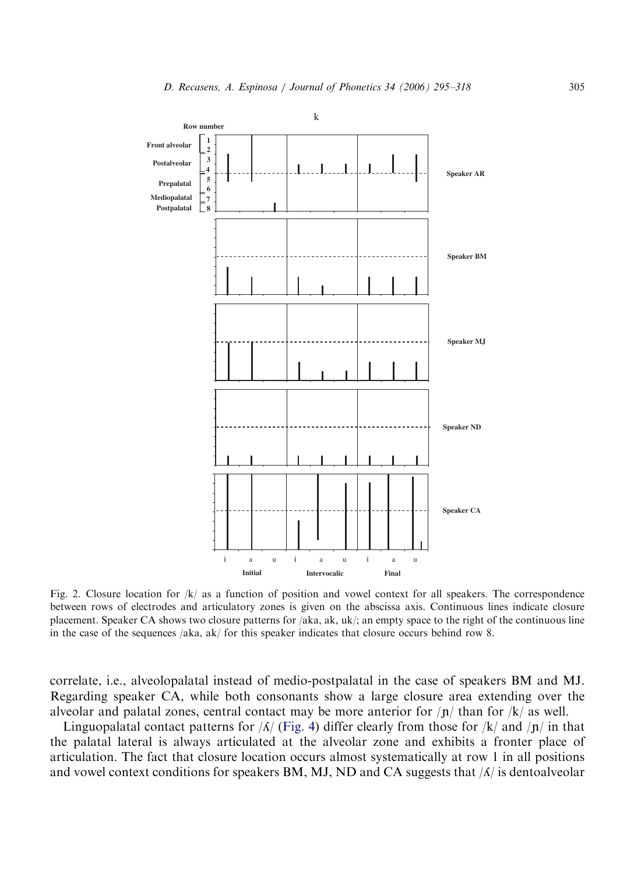<span id="page-10-0"></span>

Fig. 2. Closure location for  $|k|$  as a function of position and vowel context for all speakers. The correspondence between rows of electrodes and articulatory zones is given on the abscissa axis. Continuous lines indicate closure placement. Speaker CA shows two closure patterns for /aka, ak, uk/; an empty space to the right of the continuous line in the case of the sequences /aka, ak/ for this speaker indicates that closure occurs behind row 8.

correlate, i.e., alveolopalatal instead of medio-postpalatal in the case of speakers BM and MJ. Regarding speaker CA, while both consonants show a large closure area extending over the alveolar and palatal zones, central contact may be more anterior for  $/p/$  than for  $/k/$  as well.

Linguopalatal contact patterns for  $\sqrt{A}$  [\(Fig. 4\)](#page-12-0) differ clearly from those for  $\sqrt{k}$  and  $\sqrt{n}$  in that the palatal lateral is always articulated at the alveolar zone and exhibits a fronter place of articulation. The fact that closure location occurs almost systematically at row 1 in all positions and vowel context conditions for speakers BM, MJ, ND and CA suggests that  $\Lambda$  is dentoalveolar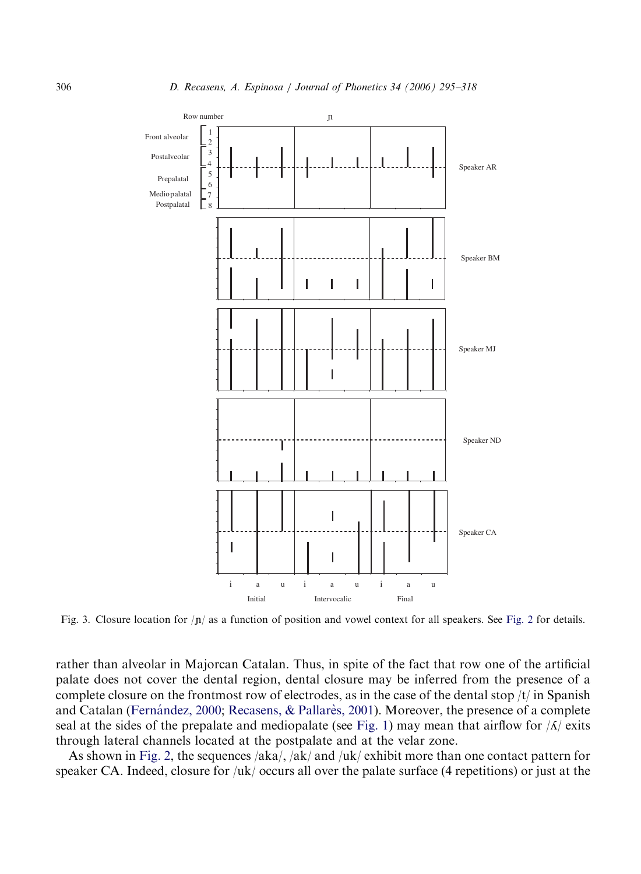<span id="page-11-0"></span>

Fig. 3. Closure location for  $|n|$  as a function of position and vowel context for all speakers. See [Fig. 2](#page-10-0) for details.

rather than alveolar in Majorcan Catalan. Thus, in spite of the fact that row one of the artificial palate does not cover the dental region, dental closure may be inferred from the presence of a complete closure on the frontmost row of electrodes, as in the case of the dental stop  $/t/$  in Spanish and Catalan (Fernández, 2000; [Recasens,](#page-23-0) & Pallarès, 2001). Moreover, the presence of a complete seal at the sides of the prepalate and mediopalate (see [Fig. 1](#page-8-0)) may mean that airflow for  $\Lambda$  exits through lateral channels located at the postpalate and at the velar zone.

As shown in [Fig. 2,](#page-10-0) the sequences  $/ak/ak/ant$  and  $/uk/$  exhibit more than one contact pattern for speaker CA. Indeed, closure for /uk/ occurs all over the palate surface (4 repetitions) or just at the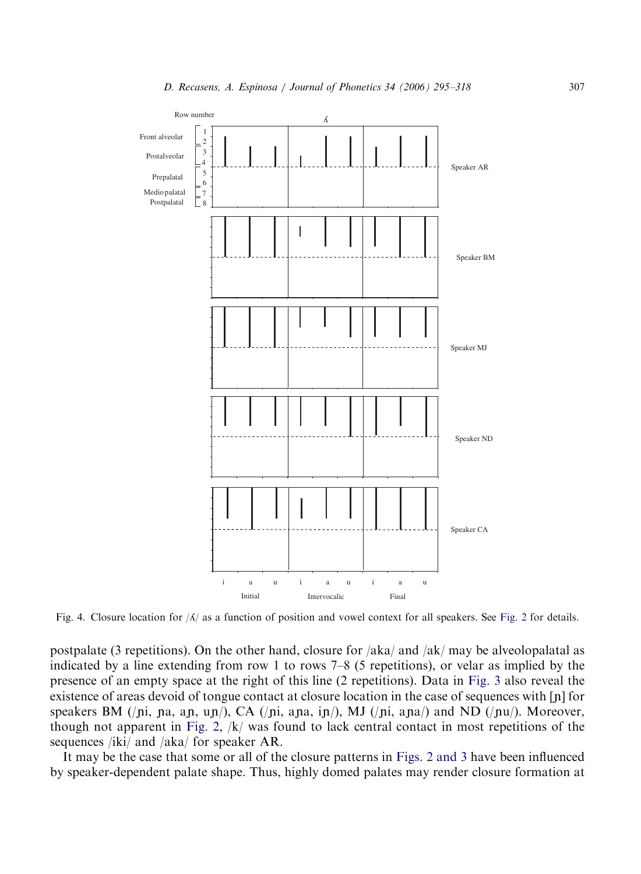<span id="page-12-0"></span>

Fig. 4. Closure location for  $\vert A \vert$  as a function of position and vowel context for all speakers. See [Fig. 2](#page-10-0) for details.

postpalate (3 repetitions). On the other hand, closure for /aka/ and /ak/ may be alveolopalatal as indicated by a line extending from row 1 to rows 7–8 (5 repetitions), or velar as implied by the presence of an empty space at the right of this line (2 repetitions). Data in [Fig. 3](#page-11-0) also reveal the existence of areas devoid of tongue contact at closure location in the case of sequences with  $[n]$  for speakers BM (/pi, pa, ap, up/), CA (/pi, apa, ip/), MJ (/pi, apa/) and ND (/pu/). Moreover, though not apparent in [Fig. 2](#page-10-0), /k/ was found to lack central contact in most repetitions of the sequences /iki/ and /aka/ for speaker AR.

It may be the case that some or all of the closure patterns in [Figs. 2 and 3](#page-10-0) have been influenced by speaker-dependent palate shape. Thus, highly domed palates may render closure formation at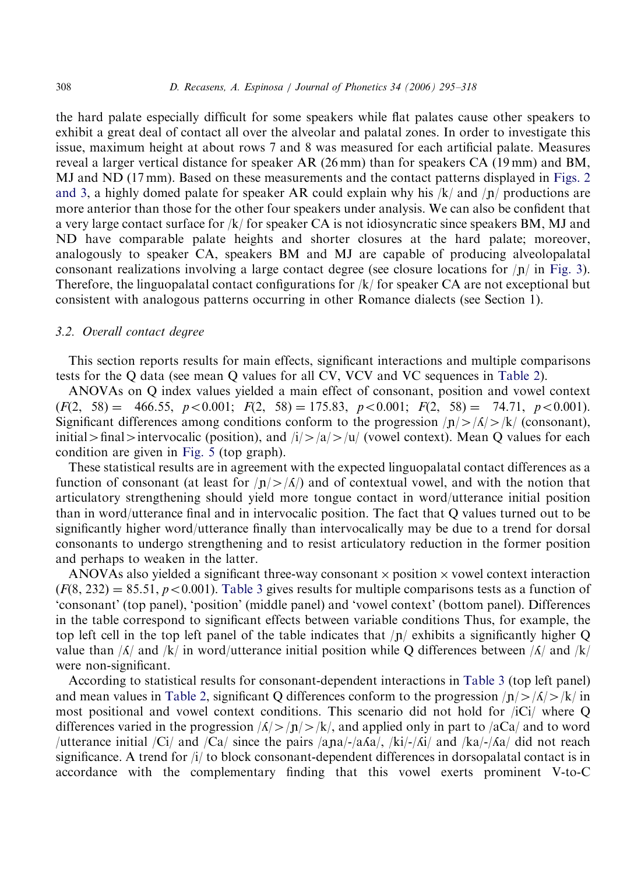the hard palate especially difficult for some speakers while flat palates cause other speakers to exhibit a great deal of contact all over the alveolar and palatal zones. In order to investigate this issue, maximum height at about rows 7 and 8 was measured for each artificial palate. Measures reveal a larger vertical distance for speaker AR (26 mm) than for speakers CA (19 mm) and BM, MJ and ND (17 mm). Based on these measurements and the contact patterns displayed in [Figs. 2](#page-10-0) [and 3,](#page-10-0) a highly domed palate for speaker AR could explain why his  $/k$  and  $\sqrt{p}$  productions are more anterior than those for the other four speakers under analysis. We can also be confident that a very large contact surface for /k/ for speaker CA is not idiosyncratic since speakers BM, MJ and ND have comparable palate heights and shorter closures at the hard palate; moreover, analogously to speaker CA, speakers BM and MJ are capable of producing alveolopalatal consonant realizations involving a large contact degree (see closure locations for  $|n|$  in [Fig. 3](#page-11-0)). Therefore, the linguopalatal contact configurations for  $/k$  for speaker CA are not exceptional but consistent with analogous patterns occurring in other Romance dialects (see Section 1).

#### 3.2. Overall contact degree

This section reports results for main effects, significant interactions and multiple comparisons tests for the Q data (see mean Q values for all CV, VCV and VC sequences in [Table 2\)](#page-14-0).

ANOVAs on Q index values yielded a main effect of consonant, position and vowel context  $(F(2, 58) = 466.55, p < 0.001; F(2, 58) = 175.83, p < 0.001; F(2, 58) = 74.71, p < 0.001$ . Significant differences among conditions conform to the progression  $/n \geq \frac{f_A}{\geq k}$  (consonant), initial > final > intervocalic (position), and  $\frac{1}{2}$  /a/>/u/ (vowel context). Mean Q values for each condition are given in [Fig. 5](#page-15-0) (top graph).

These statistical results are in agreement with the expected linguopalatal contact differences as a function of consonant (at least for  $|n| > |\Lambda|$ ) and of contextual vowel, and with the notion that articulatory strengthening should yield more tongue contact in word/utterance initial position than in word/utterance final and in intervocalic position. The fact that Q values turned out to be significantly higher word/utterance finally than intervocalically may be due to a trend for dorsal consonants to undergo strengthening and to resist articulatory reduction in the former position and perhaps to weaken in the latter.

ANOVAs also yielded a significant three-way consonant  $\times$  position  $\times$  vowel context interaction  $(F(8, 232) = 85.51, p < 0.001)$ . [Table 3](#page-16-0) gives results for multiple comparisons tests as a function of 'consonant' (top panel), 'position' (middle panel) and 'vowel context' (bottom panel). Differences in the table correspond to significant effects between variable conditions Thus, for example, the top left cell in the top left panel of the table indicates that  $|n|$  exhibits a significantly higher Q value than  $\sqrt{\frac{h}{\pi}}$  and  $\sqrt{\frac{k}{\pi}}$  word/utterance initial position while Q differences between  $\sqrt{\frac{\pi}{\pi}}$  and  $\sqrt{\frac{k}{\pi}}$ were non-significant.

According to statistical results for consonant-dependent interactions in [Table 3](#page-16-0) (top left panel) and mean values in [Table 2](#page-14-0), significant Q differences conform to the progression  $|n| > |\Lambda| > |k|$  in most positional and vowel context conditions. This scenario did not hold for  $\overline{C}$  where Q differences varied in the progression  $|A| > |n| > |k|$ , and applied only in part to  $|aCa|$  and to word /utterance initial /Ci/ and /Ca/ since the pairs /ana/-/a $\Delta a$ /, /ki/-/ $\Delta i$ / and /ka/-/ $\Delta a$ / did not reach significance. A trend for /i/ to block consonant-dependent differences in dorsopalatal contact is in accordance with the complementary finding that this vowel exerts prominent V-to-C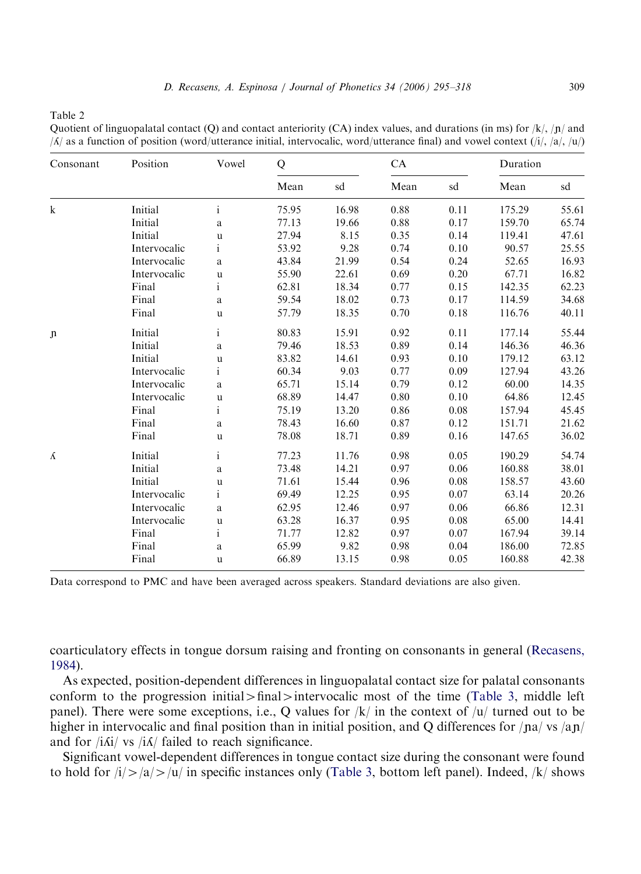<span id="page-14-0"></span>Table 2

Quotient of linguopalatal contact (Q) and contact anteriority (CA) index values, and durations (in ms) for  $/k$ ,  $/n/$  and  $\Lambda$  as a function of position (word/utterance initial, intervocalic, word/utterance final) and vowel context ( $\Lambda$ ),  $\Lambda$ ),  $\Lambda$ 

| Consonant    | Position     | Vowel        | Q     |       | CA   |      | Duration |       |
|--------------|--------------|--------------|-------|-------|------|------|----------|-------|
|              |              |              | Mean  | sd    | Mean | sd   | Mean     | sd    |
| ${\bf k}$    | Initial      | $\mathbf{i}$ | 75.95 | 16.98 | 0.88 | 0.11 | 175.29   | 55.61 |
|              | Initial      | $\rm{a}$     | 77.13 | 19.66 | 0.88 | 0.17 | 159.70   | 65.74 |
|              | Initial      | $\mathbf u$  | 27.94 | 8.15  | 0.35 | 0.14 | 119.41   | 47.61 |
|              | Intervocalic | $\mathbf{i}$ | 53.92 | 9.28  | 0.74 | 0.10 | 90.57    | 25.55 |
|              | Intervocalic | $\rm{a}$     | 43.84 | 21.99 | 0.54 | 0.24 | 52.65    | 16.93 |
|              | Intervocalic | $\mathbf u$  | 55.90 | 22.61 | 0.69 | 0.20 | 67.71    | 16.82 |
|              | Final        | $\mathbf{i}$ | 62.81 | 18.34 | 0.77 | 0.15 | 142.35   | 62.23 |
|              | Final        | $\rm{a}$     | 59.54 | 18.02 | 0.73 | 0.17 | 114.59   | 34.68 |
|              | Final        | u            | 57.79 | 18.35 | 0.70 | 0.18 | 116.76   | 40.11 |
| $\mathbf{n}$ | Initial      | $\mathbf{i}$ | 80.83 | 15.91 | 0.92 | 0.11 | 177.14   | 55.44 |
|              | Initial      | $\rm{a}$     | 79.46 | 18.53 | 0.89 | 0.14 | 146.36   | 46.36 |
|              | Initial      | $\mathbf u$  | 83.82 | 14.61 | 0.93 | 0.10 | 179.12   | 63.12 |
|              | Intervocalic | $\mathbf{i}$ | 60.34 | 9.03  | 0.77 | 0.09 | 127.94   | 43.26 |
|              | Intervocalic | $\rm{a}$     | 65.71 | 15.14 | 0.79 | 0.12 | 60.00    | 14.35 |
|              | Intervocalic | $\mathbf u$  | 68.89 | 14.47 | 0.80 | 0.10 | 64.86    | 12.45 |
|              | Final        | $\mathbf{i}$ | 75.19 | 13.20 | 0.86 | 0.08 | 157.94   | 45.45 |
|              | Final        | $\rm{a}$     | 78.43 | 16.60 | 0.87 | 0.12 | 151.71   | 21.62 |
|              | Final        | u            | 78.08 | 18.71 | 0.89 | 0.16 | 147.65   | 36.02 |
| Á            | Initial      | $\mathbf{i}$ | 77.23 | 11.76 | 0.98 | 0.05 | 190.29   | 54.74 |
|              | Initial      | $\rm{a}$     | 73.48 | 14.21 | 0.97 | 0.06 | 160.88   | 38.01 |
|              | Initial      | $\mathbf u$  | 71.61 | 15.44 | 0.96 | 0.08 | 158.57   | 43.60 |
|              | Intervocalic | $\mathbf{i}$ | 69.49 | 12.25 | 0.95 | 0.07 | 63.14    | 20.26 |
|              | Intervocalic | a            | 62.95 | 12.46 | 0.97 | 0.06 | 66.86    | 12.31 |
|              | Intervocalic | $\mathbf u$  | 63.28 | 16.37 | 0.95 | 0.08 | 65.00    | 14.41 |
|              | Final        | $\mathbf{i}$ | 71.77 | 12.82 | 0.97 | 0.07 | 167.94   | 39.14 |
|              | Final        | a            | 65.99 | 9.82  | 0.98 | 0.04 | 186.00   | 72.85 |
|              | Final        | u            | 66.89 | 13.15 | 0.98 | 0.05 | 160.88   | 42.38 |

Data correspond to PMC and have been averaged across speakers. Standard deviations are also given.

coarticulatory effects in tongue dorsum raising and fronting on consonants in general [\(Recasens,](#page-22-0) [1984](#page-22-0)).

As expected, position-dependent differences in linguopalatal contact size for palatal consonants conform to the progression initial  $>\text{final}$  intervocalic most of the time [\(Table 3](#page-16-0), middle left panel). There were some exceptions, i.e., Q values for  $|k|$  in the context of  $|u|$  turned out to be higher in intervocalic and final position than in initial position, and Q differences for  $/|na|$  vs  $/a\eta$ and for  $/i\vec{A}i/\vec{A}$  railed to reach significance.

Significant vowel-dependent differences in tongue contact size during the consonant were found to hold for  $|i\rangle>|a\rangle|i\rangle$  in specific instances only ([Table 3](#page-16-0), bottom left panel). Indeed,  $|k\rangle$  shows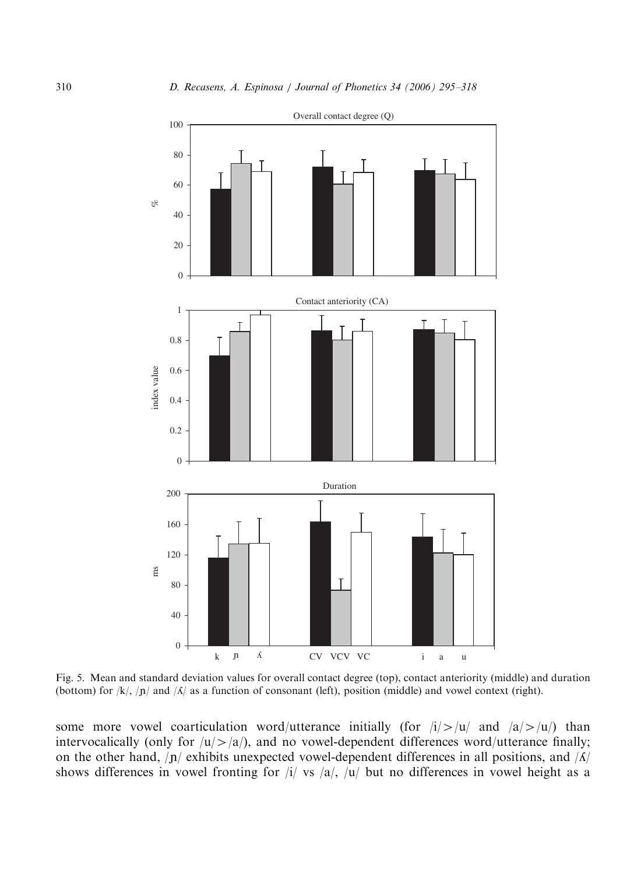<span id="page-15-0"></span>

Fig. 5. Mean and standard deviation values for overall contact degree (top), contact anteriority (middle) and duration (bottom) for  $|k|$ ,  $|n|$  and  $|A|$  as a function of consonant (left), position (middle) and vowel context (right).

some more vowel coarticulation word/utterance initially (for  $|i| > |u|$  and  $|a| > |u|$ ) than intervocalically (only for  $|u| > |a|$ ), and no vowel-dependent differences word/utterance finally; on the other hand,  $|n|$  exhibits unexpected vowel-dependent differences in all positions, and  $|A|$ shows differences in vowel fronting for  $|i|$  vs  $|a|$ ,  $|u|$  but no differences in vowel height as a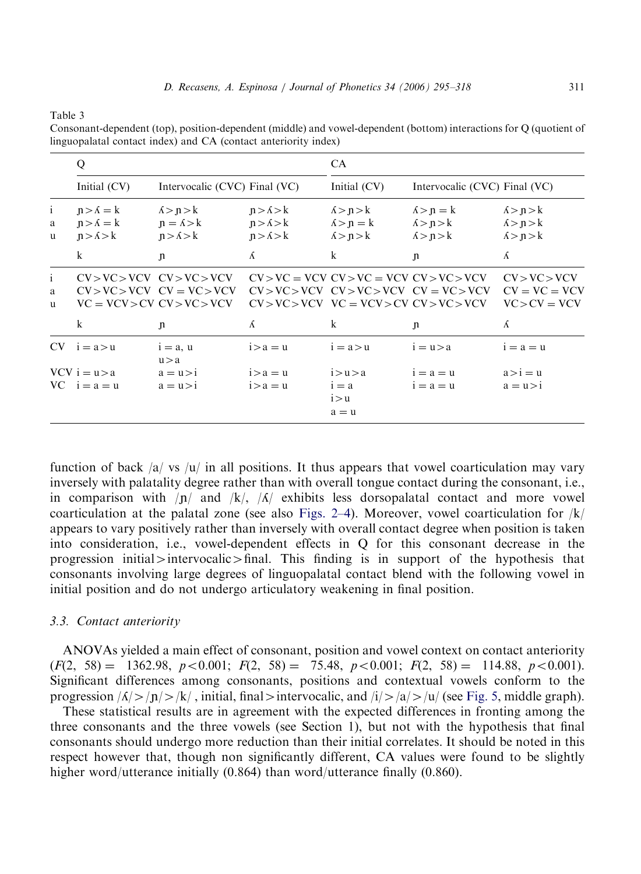<span id="page-16-0"></span>Table 3

Consonant-dependent (top), position-dependent (middle) and vowel-dependent (bottom) interactions for Q (quotient of linguopalatal contact index) and CA (contact anteriority index)

|                        | Q                                                           |                                                                                                    |                                                             | CA                                                          |                                                                                                                                                |                                                             |  |
|------------------------|-------------------------------------------------------------|----------------------------------------------------------------------------------------------------|-------------------------------------------------------------|-------------------------------------------------------------|------------------------------------------------------------------------------------------------------------------------------------------------|-------------------------------------------------------------|--|
|                        | Initial (CV)                                                | Intervocalic (CVC) Final (VC)                                                                      |                                                             | Initial (CV)                                                | Intervocalic (CVC) Final (VC)                                                                                                                  |                                                             |  |
| $\mathbf{i}$<br>a<br>u | $n > \Lambda = k$<br>$n > \Lambda = k$<br>$n > \Lambda > k$ | $\Lambda > n > k$<br>$n = \lambda > k$<br>$n > \Lambda > k$                                        | $n > \Lambda > k$<br>$n > \Lambda > k$<br>$n > \Lambda > k$ | $\Lambda > n > k$<br>$\Lambda > n = k$<br>$\Lambda > n > k$ | $\Lambda > n = k$<br>$\Lambda > n > k$<br>$\Lambda > n > k$                                                                                    | $\Lambda > n > k$<br>$\Lambda > n > k$<br>$\Lambda > n > k$ |  |
|                        | $\mathbf{k}$                                                | $\mathbf{n}$                                                                                       | Á                                                           | $\bf k$                                                     | $\mathbf{n}$                                                                                                                                   | Á                                                           |  |
| i.<br>a.<br>u.         |                                                             | $CV > VC > VCV$ $CV > VC > VCV$<br>$CV > VC > VCV$ $CV = VC > VCV$<br>$VC = VCV > CV CV > VC > VC$ |                                                             |                                                             | $CV > VC = VCV CV > VC = VCV CV > VC > VCV$<br>$CV > VC > VCV CV > VCV > VCV CV = VC > VCV$<br>$CV > VC > VCV$ $VC = VCV > CV$ $CV > VC > VCV$ | CV > VC > VCV<br>$CV = VC = VCV$<br>$VC > CV = VCV$         |  |
|                        | $\mathbf{k}$                                                | n                                                                                                  | Á                                                           | k                                                           | $\mathbf{n}$                                                                                                                                   | Á                                                           |  |
|                        | $CV$ $i = a > u$                                            | $i = a, u$<br>u > a                                                                                | $i > a = u$                                                 | $i = a > u$                                                 | $i = u > a$                                                                                                                                    | $i = a = u$                                                 |  |
|                        | $VCV$ i = $u > a$<br>$VC$ $i = a = u$                       | $a = u > i$<br>$a = u > i$                                                                         | $i > a = u$<br>$i > a = u$                                  | i > u > a<br>$i = a$<br>i > u<br>$a = u$                    | $i = a = u$<br>$i = a = u$                                                                                                                     | $a > i = u$<br>$a = u > i$                                  |  |

function of back  $|a|$  vs  $|u|$  in all positions. It thus appears that vowel coarticulation may vary inversely with palatality degree rather than with overall tongue contact during the consonant, i.e., in comparison with  $|n|$  and  $|k|$ ,  $|\Lambda|$  exhibits less dorsopalatal contact and more vowel coarticulation at the palatal zone (see also [Figs. 2–4\)](#page-10-0). Moreover, vowel coarticulation for  $|k|$ appears to vary positively rather than inversely with overall contact degree when position is taken into consideration, i.e., vowel-dependent effects in Q for this consonant decrease in the progression initial intervocalic  $\frac{1}{\pi}$  final. This finding is in support of the hypothesis that consonants involving large degrees of linguopalatal contact blend with the following vowel in initial position and do not undergo articulatory weakening in final position.

# 3.3. Contact anteriority

ANOVAs yielded a main effect of consonant, position and vowel context on contact anteriority  $(F(2, 58) = 1362.98, p < 0.001; F(2, 58) = 75.48, p < 0.001; F(2, 58) = 114.88, p < 0.001$ . Significant differences among consonants, positions and contextual vowels conform to the progression  $|\Lambda| > |\mathbf{n}| > |\mathbf{k}|$ , initial, final intervocalic, and  $|\mathbf{i}| > |\mathbf{a}| > |\mathbf{u}|$  (see [Fig. 5,](#page-15-0) middle graph).

These statistical results are in agreement with the expected differences in fronting among the three consonants and the three vowels (see Section 1), but not with the hypothesis that final consonants should undergo more reduction than their initial correlates. It should be noted in this respect however that, though non significantly different, CA values were found to be slightly higher word/utterance initially (0.864) than word/utterance finally (0.860).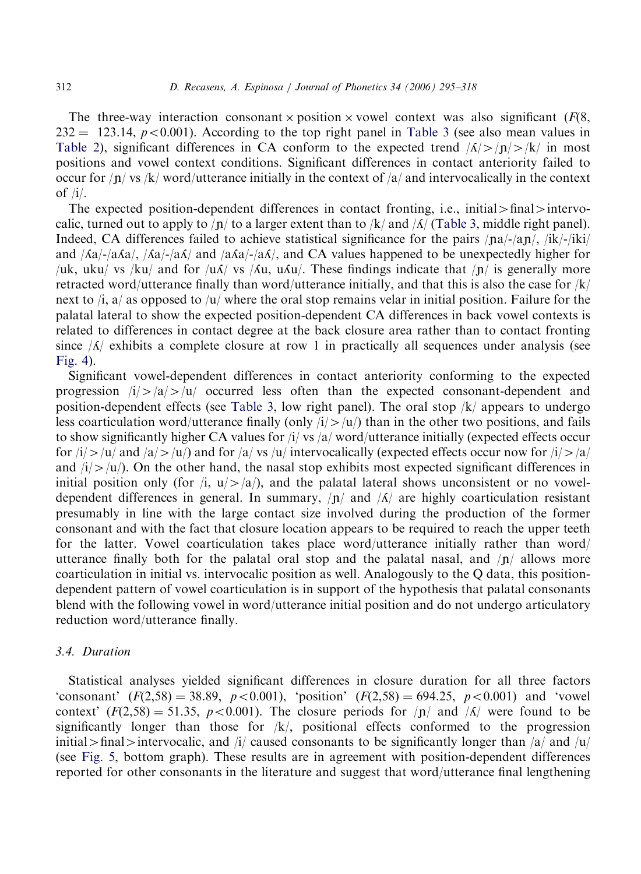The three-way interaction consonant  $\times$  position  $\times$  vowel context was also significant ( $F(8)$ ,  $232 = 123.14$ ,  $p < 0.001$ ). According to the top right panel in [Table 3](#page-16-0) (see also mean values in [Table 2\)](#page-14-0), significant differences in CA conform to the expected trend  $|\Lambda| > |n| > |k|$  in most positions and vowel context conditions. Significant differences in contact anteriority failed to occur for  $|n|$  vs  $|k|$  word/utterance initially in the context of  $|a|$  and intervocalically in the context of  $/i$ .

The expected position-dependent differences in contact fronting, i.e., initial  $>\frac{1}{10}$  intervocalic, turned out to apply to  $/p/$  to a larger extent than to  $/k/$  and  $\Lambda/$  ([Table 3,](#page-16-0) middle right panel). Indeed, CA differences failed to achieve statistical significance for the pairs  $/|na|/|a|/$ ,  $/|ik|/|k|/$ and  $\sqrt{Aa}$ -/a $\sqrt{Aa}$ /- $\sqrt{aA}$  and  $\sqrt{aA}$ /- $\sqrt{aA}$ , and CA values happened to be unexpectedly higher for /uk, uku/ vs /ku/ and for /u $\Lambda$ / vs / $\Lambda$ u, u $\Lambda$ u/. These findings indicate that /n/ is generally more retracted word/utterance finally than word/utterance initially, and that this is also the case for  $/k/$ next to  $\lambda$  as opposed to  $\lambda$ u/ where the oral stop remains velar in initial position. Failure for the palatal lateral to show the expected position-dependent CA differences in back vowel contexts is related to differences in contact degree at the back closure area rather than to contact fronting since  $\Lambda$  exhibits a complete closure at row 1 in practically all sequences under analysis (see [Fig. 4](#page-12-0)).

Significant vowel-dependent differences in contact anteriority conforming to the expected progression  $i/|a|>|u|$  occurred less often than the expected consonant-dependent and position-dependent effects (see [Table 3](#page-16-0), low right panel). The oral stop /k/ appears to undergo less coarticulation word/utterance finally (only  $i/\rightarrow |u\rangle$ ) than in the other two positions, and fails to show significantly higher CA values for /i/ vs /a/ word/utterance initially (expected effects occur for  $i/|x| \ge |u|$  and  $|a| \ge |u|$  and for  $|a|$  vs  $|u|$  intervocalically (expected effects occur now for  $i/|x| \ge |a|$ and  $\frac{1}{2}$ /u/). On the other hand, the nasal stop exhibits most expected significant differences in initial position only (for  $\pi$ ,  $u$   $>$   $\pi$ ), and the palatal lateral shows unconsistent or no voweldependent differences in general. In summary,  $|n|$  and  $|\Lambda|$  are highly coarticulation resistant presumably in line with the large contact size involved during the production of the former consonant and with the fact that closure location appears to be required to reach the upper teeth for the latter. Vowel coarticulation takes place word/utterance initially rather than word/ utterance finally both for the palatal oral stop and the palatal nasal, and  $/p/$  allows more coarticulation in initial vs. intervocalic position as well. Analogously to the Q data, this positiondependent pattern of vowel coarticulation is in support of the hypothesis that palatal consonants blend with the following vowel in word/utterance initial position and do not undergo articulatory reduction word/utterance finally.

# 3.4. Duration

Statistical analyses yielded significant differences in closure duration for all three factors 'consonant'  $(F(2,58) = 38.89, p < 0.001)$ , 'position'  $(F(2,58) = 694.25, p < 0.001)$  and 'vowel context'  $(F(2,58) = 51.35, p < 0.001)$ . The closure periods for  $\sqrt{p}$  and  $\sqrt{\frac{A}{m}}$  were found to be significantly longer than those for  $/k/$ , positional effects conformed to the progression initial > final > intervocalic, and  $\pi/$  caused consonants to be significantly longer than  $\pi/$  and  $\pi/$ (see [Fig. 5,](#page-15-0) bottom graph). These results are in agreement with position-dependent differences reported for other consonants in the literature and suggest that word/utterance final lengthening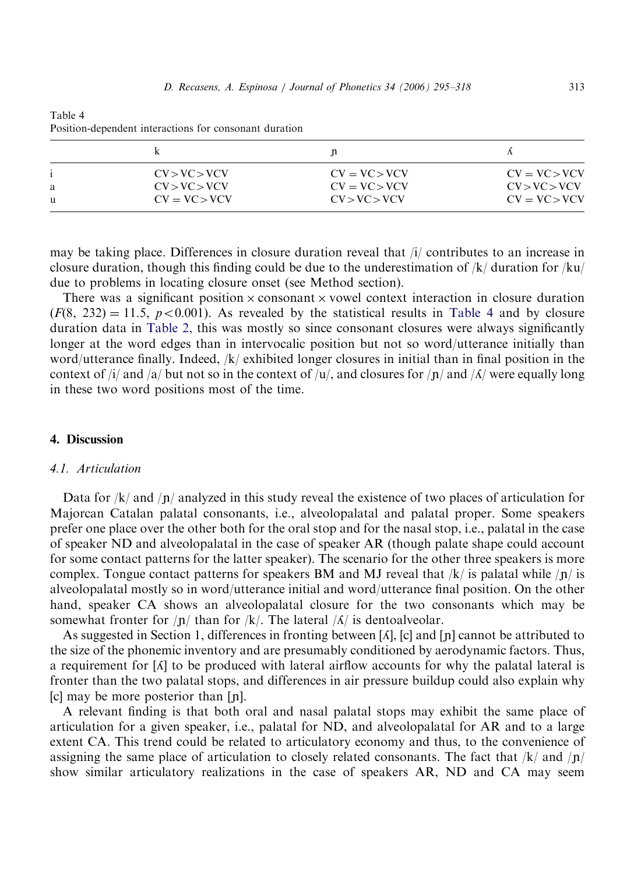|   | CV > VC > VCV   | $CV = VC > VCV$ | $CV = VC > VCV$ |
|---|-----------------|-----------------|-----------------|
| a | CV > VC > VCV   | $CV = VC > VCV$ | CV > VC > VCV   |
| u | $CV = VC > VCV$ | CV > VC > VCV   | $CV = VC > VCV$ |

Table 4 Position-dependent interactions for consonant duration

may be taking place. Differences in closure duration reveal that /i/ contributes to an increase in closure duration, though this finding could be due to the underestimation of  $/k/$  duration for  $/ku/$ due to problems in locating closure onset (see Method section).

There was a significant position  $\times$  consonant  $\times$  vowel context interaction in closure duration  $(F(8, 232) = 11.5, p < 0.001)$ . As revealed by the statistical results in Table 4 and by closure duration data in [Table 2,](#page-14-0) this was mostly so since consonant closures were always significantly longer at the word edges than in intervocalic position but not so word/utterance initially than word/utterance finally. Indeed, /k/ exhibited longer closures in initial than in final position in the context of  $\frac{1}{4}$  and  $\frac{1}{a}$  but not so in the context of  $\frac{1}{u}$ , and closures for  $\frac{1}{n}$  and  $\frac{1}{A}$  were equally long in these two word positions most of the time.

# 4. Discussion

#### 4.1. Articulation

Data for  $/k$  and  $\ln$  analyzed in this study reveal the existence of two places of articulation for Majorcan Catalan palatal consonants, i.e., alveolopalatal and palatal proper. Some speakers prefer one place over the other both for the oral stop and for the nasal stop, i.e., palatal in the case of speaker ND and alveolopalatal in the case of speaker AR (though palate shape could account for some contact patterns for the latter speaker). The scenario for the other three speakers is more complex. Tongue contact patterns for speakers BM and MJ reveal that  $/k/$  is palatal while  $/n/$  is alveolopalatal mostly so in word/utterance initial and word/utterance final position. On the other hand, speaker CA shows an alveolopalatal closure for the two consonants which may be somewhat fronter for  $/p/$  than for  $/k/$ . The lateral  $/\Lambda/$  is dentoalveolar.

As suggested in Section 1, differences in fronting between  $\lbrack \Lambda \rbrack$ ,  $\lbrack$  and  $\lbrack \ln \rbrack$  cannot be attributed to the size of the phonemic inventory and are presumably conditioned by aerodynamic factors. Thus, a requirement for  $\lceil \Lambda \rceil$  to be produced with lateral airflow accounts for why the palatal lateral is fronter than the two palatal stops, and differences in air pressure buildup could also explain why  $[c]$  may be more posterior than  $[n]$ .

A relevant finding is that both oral and nasal palatal stops may exhibit the same place of articulation for a given speaker, i.e., palatal for ND, and alveolopalatal for AR and to a large extent CA. This trend could be related to articulatory economy and thus, to the convenience of assigning the same place of articulation to closely related consonants. The fact that  $/k$  and  $\pi$ show similar articulatory realizations in the case of speakers AR, ND and CA may seem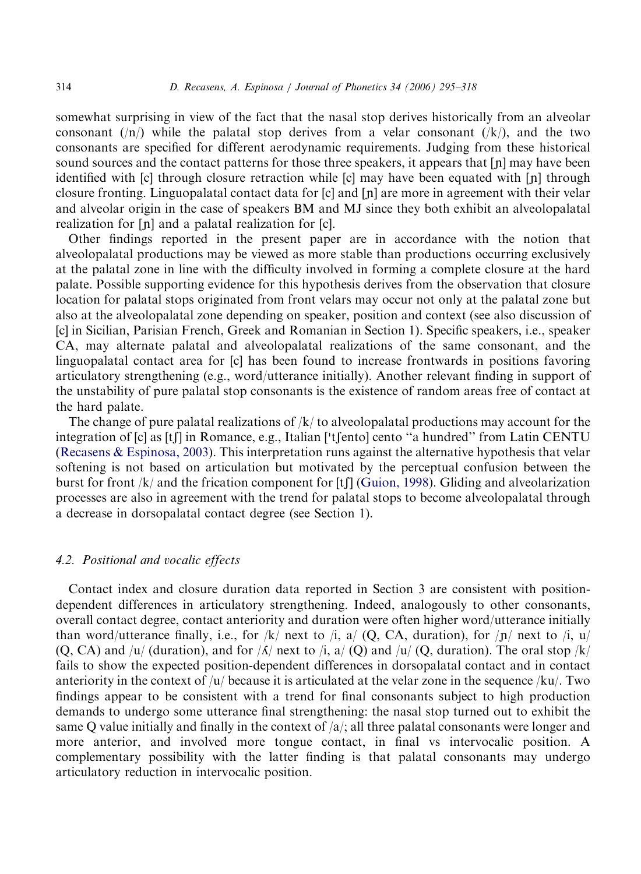somewhat surprising in view of the fact that the nasal stop derives historically from an alveolar consonant  $(|n\rangle)$  while the palatal stop derives from a velar consonant  $(|k\rangle)$ , and the two consonants are specified for different aerodynamic requirements. Judging from these historical sound sources and the contact patterns for those three speakers, it appears that  $[n]$  may have been identified with  $[c]$  through closure retraction while  $[c]$  may have been equated with  $[n]$  through closure fronting. Linguopalatal contact data for [c] and [n] are more in agreement with their velar and alveolar origin in the case of speakers BM and MJ since they both exhibit an alveolopalatal realization for  $[n]$  and a palatal realization for  $[c]$ .

Other findings reported in the present paper are in accordance with the notion that alveolopalatal productions may be viewed as more stable than productions occurring exclusively at the palatal zone in line with the difficulty involved in forming a complete closure at the hard palate. Possible supporting evidence for this hypothesis derives from the observation that closure location for palatal stops originated from front velars may occur not only at the palatal zone but also at the alveolopalatal zone depending on speaker, position and context (see also discussion of [c] in Sicilian, Parisian French, Greek and Romanian in Section 1). Specific speakers, i.e., speaker CA, may alternate palatal and alveolopalatal realizations of the same consonant, and the linguopalatal contact area for [c] has been found to increase frontwards in positions favoring articulatory strengthening (e.g., word/utterance initially). Another relevant finding in support of the unstability of pure palatal stop consonants is the existence of random areas free of contact at the hard palate.

The change of pure palatal realizations of  $/k/$  to alveolopalatal productions may account for the I he change of pure paratal realizations of  $|k\rangle$  to alveoloparatal productions hay account for the<br>integration of [c] as [t]] in Romance, e.g., Italian ['t]ento] cento "a hundred" from Latin CENTU ([Recasens](#page-23-0) & [Espinosa, 2003](#page-23-0)). This interpretation runs against the alternative hypothesis that velar softening is not based on articulation but motivated by the perceptual confusion between the burst for front  $/k$  and the frication component for [tf] ([Guion, 1998](#page-22-0)). Gliding and alveolarization processes are also in agreement with the trend for palatal stops to become alveolopalatal through a decrease in dorsopalatal contact degree (see Section 1).

# 4.2. Positional and vocalic effects

Contact index and closure duration data reported in Section 3 are consistent with positiondependent differences in articulatory strengthening. Indeed, analogously to other consonants, overall contact degree, contact anteriority and duration were often higher word/utterance initially than word/utterance finally, i.e., for /k/ next to /i, a/ (Q, CA, duration), for  $|p|$  next to /i, u/  $(Q, CA)$  and /u/ (duration), and for / $\Lambda$ / next to /i, a/ (Q) and /u/ (Q, duration). The oral stop /k/ fails to show the expected position-dependent differences in dorsopalatal contact and in contact anteriority in the context of  $/u$  because it is articulated at the velar zone in the sequence  $/ku$ . Two findings appear to be consistent with a trend for final consonants subject to high production demands to undergo some utterance final strengthening: the nasal stop turned out to exhibit the same Q value initially and finally in the context of  $\alpha/$ ; all three palatal consonants were longer and more anterior, and involved more tongue contact, in final vs intervocalic position. A complementary possibility with the latter finding is that palatal consonants may undergo articulatory reduction in intervocalic position.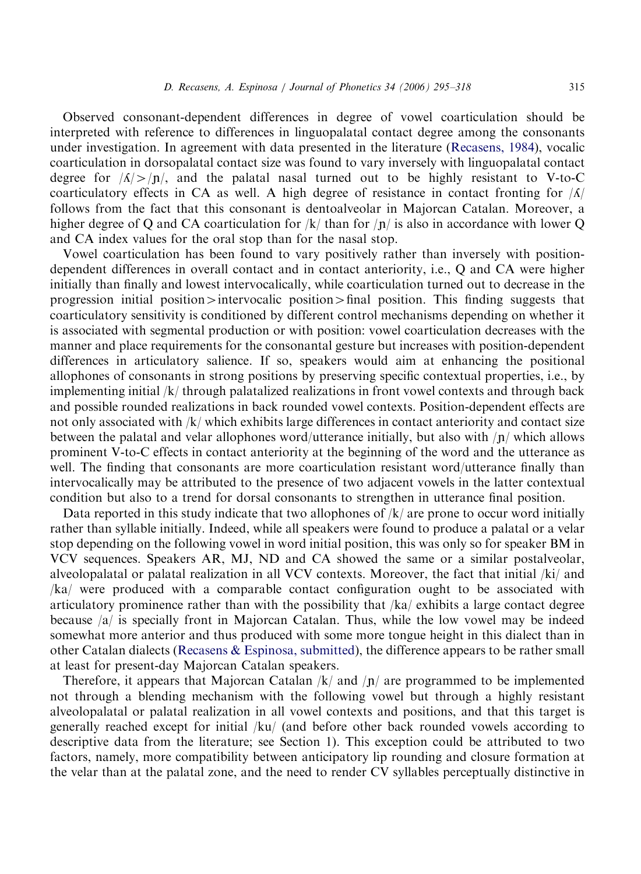Observed consonant-dependent differences in degree of vowel coarticulation should be interpreted with reference to differences in linguopalatal contact degree among the consonants under investigation. In agreement with data presented in the literature ([Recasens, 1984](#page-22-0)), vocalic coarticulation in dorsopalatal contact size was found to vary inversely with linguopalatal contact degree for  $\sqrt{\frac{\Lambda}{2}}$ /n/, and the palatal nasal turned out to be highly resistant to V-to-C coarticulatory effects in CA as well. A high degree of resistance in contact fronting for  $|\Lambda|$ follows from the fact that this consonant is dentoalveolar in Majorcan Catalan. Moreover, a higher degree of Q and CA coarticulation for  $/k/$  than for  $/n/$  is also in accordance with lower Q and CA index values for the oral stop than for the nasal stop.

Vowel coarticulation has been found to vary positively rather than inversely with positiondependent differences in overall contact and in contact anteriority, i.e., Q and CA were higher initially than finally and lowest intervocalically, while coarticulation turned out to decrease in the progression initial position $\geq$  intervocalic position $\geq$  final position. This finding suggests that coarticulatory sensitivity is conditioned by different control mechanisms depending on whether it is associated with segmental production or with position: vowel coarticulation decreases with the manner and place requirements for the consonantal gesture but increases with position-dependent differences in articulatory salience. If so, speakers would aim at enhancing the positional allophones of consonants in strong positions by preserving specific contextual properties, i.e., by implementing initial /k/ through palatalized realizations in front vowel contexts and through back and possible rounded realizations in back rounded vowel contexts. Position-dependent effects are not only associated with /k/ which exhibits large differences in contact anteriority and contact size between the palatal and velar allophones word/utterance initially, but also with  $\pi$ / which allows prominent V-to-C effects in contact anteriority at the beginning of the word and the utterance as well. The finding that consonants are more coarticulation resistant word/utterance finally than intervocalically may be attributed to the presence of two adjacent vowels in the latter contextual condition but also to a trend for dorsal consonants to strengthen in utterance final position.

Data reported in this study indicate that two allophones of  $/k/$  are prone to occur word initially rather than syllable initially. Indeed, while all speakers were found to produce a palatal or a velar stop depending on the following vowel in word initial position, this was only so for speaker BM in VCV sequences. Speakers AR, MJ, ND and CA showed the same or a similar postalveolar, alveolopalatal or palatal realization in all VCV contexts. Moreover, the fact that initial /ki/ and /ka/ were produced with a comparable contact configuration ought to be associated with articulatory prominence rather than with the possibility that /ka/ exhibits a large contact degree because  $|a|$  is specially front in Majorcan Catalan. Thus, while the low vowel may be indeed somewhat more anterior and thus produced with some more tongue height in this dialect than in other Catalan dialects ([Recasens](#page-23-0) & [Espinosa, submitted\)](#page-23-0), the difference appears to be rather small at least for present-day Majorcan Catalan speakers.

Therefore, it appears that Majorcan Catalan  $/k/$  and  $/n/$  are programmed to be implemented not through a blending mechanism with the following vowel but through a highly resistant alveolopalatal or palatal realization in all vowel contexts and positions, and that this target is generally reached except for initial /ku/ (and before other back rounded vowels according to descriptive data from the literature; see Section 1). This exception could be attributed to two factors, namely, more compatibility between anticipatory lip rounding and closure formation at the velar than at the palatal zone, and the need to render CV syllables perceptually distinctive in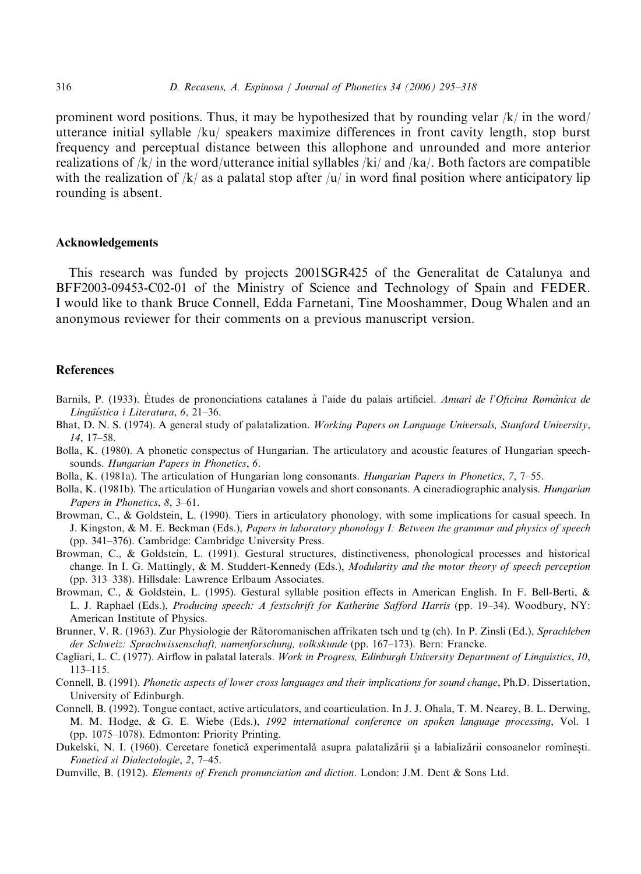<span id="page-21-0"></span>prominent word positions. Thus, it may be hypothesized that by rounding velar  $/k/$  in the word utterance initial syllable /ku/ speakers maximize differences in front cavity length, stop burst frequency and perceptual distance between this allophone and unrounded and more anterior realizations of  $/k/$  in the word/utterance initial syllables  $/ki/$  and  $/ka/$ . Both factors are compatible with the realization of  $/k/$  as a palatal stop after  $/u/$  in word final position where anticipatory lip rounding is absent.

#### Acknowledgements

This research was funded by projects 2001SGR425 of the Generalitat de Catalunya and BFF2003-09453-C02-01 of the Ministry of Science and Technology of Spain and FEDER. I would like to thank Bruce Connell, Edda Farnetani, Tine Mooshammer, Doug Whalen and an anonymous reviewer for their comments on a previous manuscript version.

# References

- Barnils, P. (1933). Études de prononciations catalanes à l'aide du palais artificiel. Anuari de l'Oficina Romànica de Lingüística i Literatura, 6, 21–36.
- Bhat, D. N. S. (1974). A general study of palatalization. Working Papers on Language Universals, Stanford University, 14, 17–58.
- Bolla, K. (1980). A phonetic conspectus of Hungarian. The articulatory and acoustic features of Hungarian speechsounds. Hungarian Papers in Phonetics, 6.
- Bolla, K. (1981a). The articulation of Hungarian long consonants. Hungarian Papers in Phonetics, 7, 7–55.
- Bolla, K. (1981b). The articulation of Hungarian vowels and short consonants. A cineradiographic analysis. *Hungarian* Papers in Phonetics, 8, 3–61.
- Browman, C., & Goldstein, L. (1990). Tiers in articulatory phonology, with some implications for casual speech. In J. Kingston, & M. E. Beckman (Eds.), Papers in laboratory phonology I: Between the grammar and physics of speech (pp. 341–376). Cambridge: Cambridge University Press.
- Browman, C., & Goldstein, L. (1991). Gestural structures, distinctiveness, phonological processes and historical change. In I. G. Mattingly, & M. Studdert-Kennedy (Eds.), Modularity and the motor theory of speech perception (pp. 313–338). Hillsdale: Lawrence Erlbaum Associates.
- Browman, C., & Goldstein, L. (1995). Gestural syllable position effects in American English. In F. Bell-Berti, & L. J. Raphael (Eds.), Producing speech: A festschrift for Katherine Safford Harris (pp. 19–34). Woodbury, NY: American Institute of Physics.
- Brunner, V. R. (1963). Zur Physiologie der Rätoromanischen affrikaten tsch und tg (ch). In P. Zinsli (Ed.), Sprachleben der Schweiz: Sprachwissenschaft, namenforschung, volkskunde (pp. 167–173). Bern: Francke.
- Cagliari, L. C. (1977). Airflow in palatal laterals. Work in Progress, Edinburgh University Department of Linguistics, 10, 113–115.
- Connell, B. (1991). Phonetic aspects of lower cross languages and their implications for sound change, Ph.D. Dissertation, University of Edinburgh.
- Connell, B. (1992). Tongue contact, active articulators, and coarticulation. In J. J. Ohala, T. M. Nearey, B. L. Derwing, M. M. Hodge, & G. E. Wiebe (Eds.), 1992 international conference on spoken language processing, Vol. 1 (pp. 1075–1078). Edmonton: Priority Printing.
- Dukelski, N. I. (1960). Cercetare fonetică experimentală asupra palatalizării și a labializării consoanelor romînești. Fonetica˘ si Dialectologie, 2, 7–45.
- Dumville, B. (1912). Elements of French pronunciation and diction. London: J.M. Dent & Sons Ltd.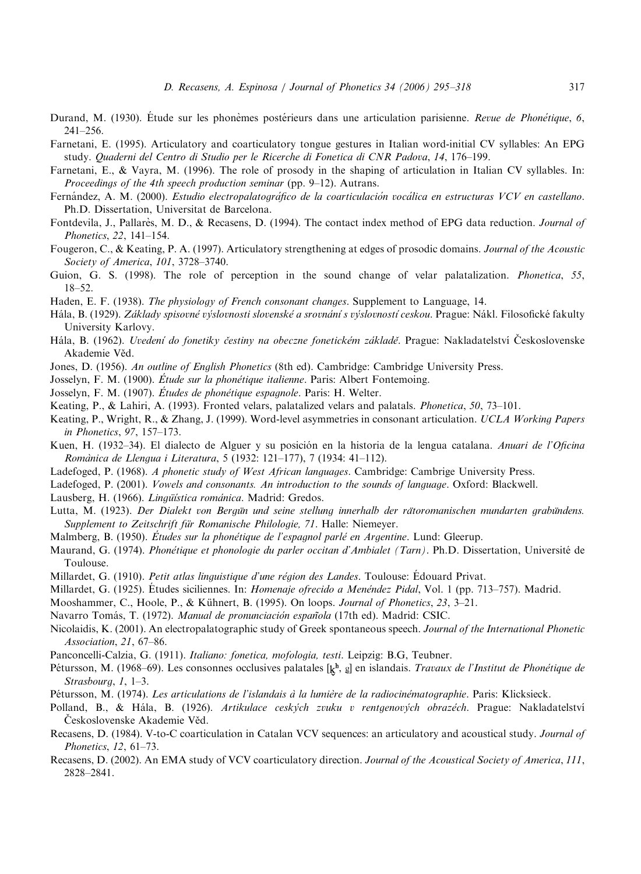- <span id="page-22-0"></span>Durand, M. (1930). Étude sur les phonèmes postérieurs dans une articulation parisienne. Revue de Phonétique, 6, 241–256.
- Farnetani, E. (1995). Articulatory and coarticulatory tongue gestures in Italian word-initial CV syllables: An EPG study. Quaderni del Centro di Studio per le Ricerche di Fonetica di CNR Padova, 14, 176–199.
- Farnetani, E., & Vayra, M. (1996). The role of prosody in the shaping of articulation in Italian CV syllables. In: Proceedings of the 4th speech production seminar (pp. 9–12). Autrans.
- Fernández, A. M. (2000). Estudio electropalatográfico de la coarticulación vocálica en estructuras VCV en castellano. Ph.D. Dissertation, Universitat de Barcelona.
- Fontdevila, J., Pallarès, M. D., & Recasens, D. (1994). The contact index method of EPG data reduction. Journal of Phonetics, 22, 141–154.
- Fougeron, C., & Keating, P. A. (1997). Articulatory strengthening at edges of prosodic domains. Journal of the Acoustic Society of America, 101, 3728–3740.
- Guion, G. S. (1998). The role of perception in the sound change of velar palatalization. *Phonetica*, 55, 18–52.
- Haden, E. F. (1938). *The physiology of French consonant changes*. Supplement to Language, 14.
- Hála, B. (1929). Základy spisovné výslovnosti slovenské a srovnání s výslovností ceskou. Prague: Nákl. Filosofické fakulty University Karlovy.
- Hála, B. (1962). Uvedení do fonetiky čestiny na obeczne fonetickém základě. Prague: Nakladatelství Československe Akademie Věd.
- Jones, D. (1956). An outline of English Phonetics (8th ed). Cambridge: Cambridge University Press.
- Josselyn, F. M. (1900). *Étude sur la phonétique italienne*. Paris: Albert Fontemoing.
- Josselyn, F. M. (1907). *Études de phonétique espagnole*. Paris: H. Welter.
- Keating, P., & Lahiri, A. (1993). Fronted velars, palatalized velars and palatals. Phonetica, 50, 73–101.
- Keating, P., Wright, R., & Zhang, J. (1999). Word-level asymmetries in consonant articulation. UCLA Working Papers in Phonetics, 97, 157–173.
- Kuen, H. (1932–34). El dialecto de Alguer y su posición en la historia de la lengua catalana. Anuari de l'Oficina Romànica de Llengua i Literatura, 5 (1932: 121-177), 7 (1934: 41-112).
- Ladefoged, P. (1968). A phonetic study of West African languages. Cambridge: Cambrige University Press.
- Ladefoged, P. (2001). Vowels and consonants. An introduction to the sounds of language. Oxford: Blackwell.
- Lausberg, H. (1966). *Linqüística románica*. Madrid: Gredos.
- Lutta, M. (1923). Der Dialekt von Bergün und seine stellung innerhalb der rätoromanischen mundarten grabündens. Supplement to Zeitschrift für Romanische Philologie, 71. Halle: Niemeyer.
- Malmberg, B. (1950). Études sur la phonétique de l'espagnol parlé en Argentine. Lund: Gleerup.
- Maurand, G. (1974). Phonétique et phonologie du parler occitan d'Ambialet (Tarn). Ph.D. Dissertation, Université de Toulouse.
- Millardet, G. (1910). Petit atlas linguistique d'une région des Landes. Toulouse: Edouard Privat.
- Millardet, G. (1925). Études siciliennes. In: *Homenaje ofrecido a Menéndez Pidal*, Vol. 1 (pp. 713–757). Madrid.
- Mooshammer, C., Hoole, P., & Kühnert, B. (1995). On loops. *Journal of Phonetics*, 23, 3–21.
- Navarro Tomás, T. (1972). Manual de pronunciación española (17th ed). Madrid: CSIC.
- Nicolaidis, K. (2001). An electropalatographic study of Greek spontaneous speech. Journal of the International Phonetic Association, 21, 67–86.
- Panconcelli-Calzia, G. (1911). Italiano: fonetica, mofologia, testi. Leipzig: B.G, Teubner.
- Pétursson, M. (1968–69). Les consonnes occlusives palatales  $[k^h, g]$  en islandais. Travaux de l'Institut de Phonétique de Strasbourg, 1, 1–3.
- Pétursson, M. (1974). Les articulations de l'islandais à la lumière de la radiocinématographie. Paris: Klicksieck.
- Polland, B., & Hála, B. (1926). Artikulace ceských zvuku v rentgenových obrazéch. Prague: Nakladatelství Československe Akademie Věd.
- Recasens, D. (1984). V-to-C coarticulation in Catalan VCV sequences: an articulatory and acoustical study. Journal of Phonetics, 12, 61–73.
- Recasens, D. (2002). An EMA study of VCV coarticulatory direction. Journal of the Acoustical Society of America, 111, 2828–2841.